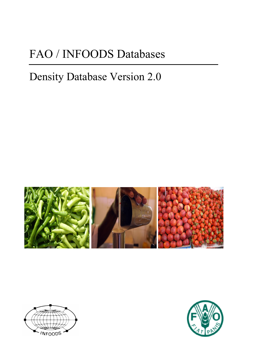# FAO / INFOODS Databases

## Density Database Version 2.0





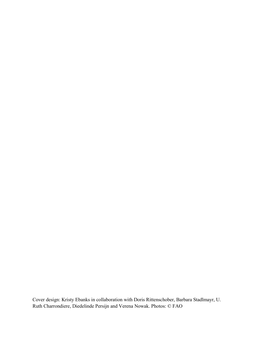Cover design: Kristy Ebanks in collaboration with Doris Rittenschober, Barbara Stadlmayr, U. Ruth Charrondiere, Diedelinde Persijn and Verena Nowak. Photos: © FAO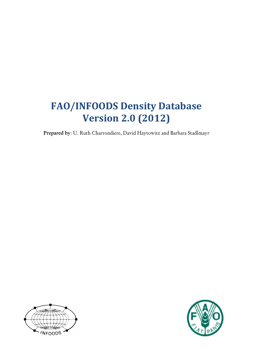### **FAO/INFOODS Density Database Version)2.0)(2012)**

Prepared by: U. Ruth Charrondiere, David Haytowitz and Barbara Stadlmayr



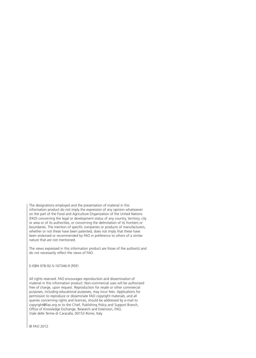The designations employed and the presentation of material in this information product do not imply the expression of any opinion whatsoever on the part of the Food and Agriculture Organization of the United Nations (FAO) concerning the legal or development status of any country, territory, city or area or of its authorities, or concerning the delimitation of its frontiers or boundaries. The mention of specific companies or products of manufacturers, whether or not these have been patented, does not imply that these have been endorsed or recommended by FAO in preference to others of a similar nature that are not mentioned.

The views expressed in this information product are those of the author(s) and do not necessarily reflect the views of FAO.

E-ISBN 978-92-5-107346-9 (PDF)

All rights reserved. FAO encourages reproduction and dissemination of material in this information product. Non-commercial uses will be authorized free of charge, upon request. Reproduction for resale or other commercial purposes, including educational purposes, may incur fees. Applications for permission to reproduce or disseminate FAO copyright materials, and all queries concerning rights and licences, should be addressed by e-mail to copyright@fao.org or to the Chief, Publishing Policy and Support Branch, Office of Knowledge Exchange, Research and Extension, FAO, Viale delle Terme di Caracalla, 00153 Rome, Italy.

© FAO 2012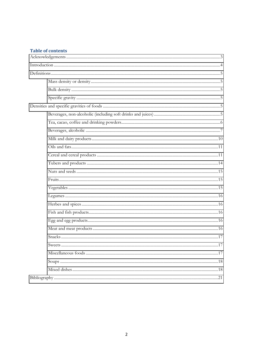#### **Table of contents**

| 17 |
|----|
|    |
|    |
|    |
|    |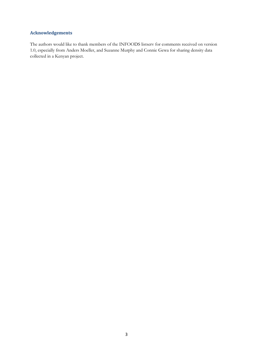#### <span id="page-5-0"></span>**Acknowledgements**

The authors would like to thank members of the INFOODS listserv for comments received on version 1.0, especially from Anders Moeller, and Suzanne Murphy and Connie Gewa for sharing density data collected in a Kenyan project.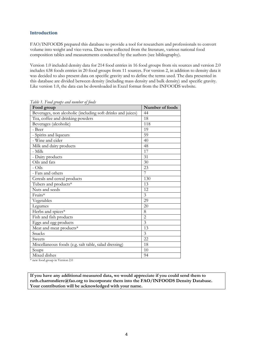#### <span id="page-6-0"></span>**Introduction**

FAO/INFOODS prepared this database to provide a tool for researchers and professionals to convert volume into weight and vice-versa. Data were collected from the literature, various national food composition tables and measurements conducted by the authors (see bibliography).

Version 1.0 included density data for 214 food entries in 16 food groups from six sources and version 2.0 includes 638 foods entries in 20 food groups from 11 sources. For version 2, in addition to density data it was decided to also present data on specific gravity and to define the terms used. The data presented in this database are divided between density (including mass density and bulk density) and specific gravity. Like version 1.0, the data can be downloaded in Excel format from the INFOODS website.

| Food group                                                                                                            | Number of foods |
|-----------------------------------------------------------------------------------------------------------------------|-----------------|
| Beverages, non alcoholic (including soft drinks and juices)                                                           | 44              |
| Tea, coffee and drinking powders                                                                                      | 18              |
| Beverages (alcoholic)                                                                                                 | 118             |
| - Beer                                                                                                                | 19              |
| - Spirits and liqueurs                                                                                                | 59              |
| - Wine and cider                                                                                                      | 40              |
| Milk and dairy products                                                                                               | 48              |
| - Milk                                                                                                                | 17              |
| - Dairy products                                                                                                      | 31              |
| Oils and fats                                                                                                         | 30              |
| - Oils                                                                                                                | 23              |
| - Fats and others                                                                                                     | 7               |
| Cereals and cereal products                                                                                           | 130             |
| Tubers and products*                                                                                                  | 13              |
| Nuts and seeds                                                                                                        | 12              |
| Fruits*                                                                                                               | 3               |
| Vegetables                                                                                                            | 29              |
| Legumes                                                                                                               | 20              |
| Herbs and spices*                                                                                                     | 8               |
| Fish and fish products                                                                                                | $\overline{2}$  |
| Eggs and egg products                                                                                                 | $\overline{3}$  |
| Meat and meat products*                                                                                               | 13              |
| Snacks                                                                                                                | 3               |
| <b>Sweets</b>                                                                                                         | 22              |
| Miscellaneous foods (e.g. salt table, salad dressing)                                                                 | 18              |
| Soups                                                                                                                 | 10              |
| Mixed dishes<br>$f_{\text{max}}$ $f_{\text{max}}$ $f_{\text{max}}$ $f_{\text{max}}$ $f_{\text{max}}$ $f_{\text{max}}$ | 94              |

*Table 1. Food groups and number of foods*

new food group in Version 2.0

**If you have any additional measured data, we would appreciate if you could send them to ruth.charrondiere@fao.org to incorporate them into the FAO/INFOODS Density Database. Your contribution will be acknowledged with your name.**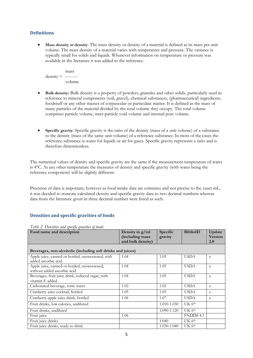#### <span id="page-7-0"></span>**Definitions**

<span id="page-7-1"></span>x **Mass density or density**: The mass density or density of a material is defined as its mass per unit volume. The mass density of a material varies with temperature and pressure. The variance is typically small for solids and liquids. Whenever information on temperature or pressure was available in the literature it was added to the reference.

 mass  $density =$  --------volume

- <span id="page-7-2"></span>x **Bulk density:** Bulk density is a property of powders, granules and other solids, particularly used in reference to mineral components (soil, gravel), chemical substances, (pharmaceutical) ingredients, foodstuff or any other masses of corpuscular or particulate matter. It is defined as the mass of many particles of the material divided by the total volume they occupy. The total volume comprises particle volume, inter-particle void volume and internal pore volume.
- <span id="page-7-3"></span>x **Specific gravity**: Specific gravity is the ratio of the density (mass of a unit volume) of a substance to the density (mass of the same unit volume) of a reference substance. In most of the cases the reference substance is water for liquids or air for gases. Specific gravity represents a ratio and is therefore dimensionless.

The numerical values of density and specific gravity are the same if the measurement temperature of water is 4°C. At any other temperature the measures of density and specific gravity (with water being the reference component) will be slightly different.

Precision of data is important, however as food intake data are estimates and not precise to the exact mL, it was decided to truncate calculated density and specific gravity data to two decimal numbers whereas data from the literature given in three decimal number were listed as such.

#### <span id="page-7-4"></span>**Densities and specific gravities of foods**

<span id="page-7-5"></span>

| .<br>Food name and description                                              | Density in g/ml<br>(including mass<br>and bulk density) | Specific<br>gravity | <b>BiblioID</b>    | Update<br><b>Version</b><br>2.0 |
|-----------------------------------------------------------------------------|---------------------------------------------------------|---------------------|--------------------|---------------------------------|
| Beverages, non-alcoholic (including soft drinks and juices)                 |                                                         |                     |                    |                                 |
| Apple juice, canned or bottled, unsweetened, with<br>added ascorbic acid    | 1.04                                                    | 1.05                | <b>USDA</b>        | $\mathbf{x}$                    |
| Apple juice, canned or bottled, unsweetened,<br>without added ascorbic acid | 1.04                                                    | 1.05                | <b>USDA</b>        | $\mathbf{x}$                    |
| Beverages, fruit juice drink, reduced sugar, with<br>vitamin E added        | 1.04                                                    | 1.05                | <b>USDA</b>        | $\mathbf{x}$                    |
| Carbonated beverage, tonic water                                            | 1.02                                                    | 1.02                | <b>USDA</b>        | $\mathbf X$                     |
| Cranberry juice cocktail, bottled                                           | 1.05                                                    | 1.05                | <b>USDA</b>        | $\mathbf{x}$                    |
| Cranberry-apple juice drink, bottled                                        | 1.06                                                    | 1.07                | <b>USDA</b>        | X                               |
| Fruit drinks, low calories, undiluted                                       |                                                         | 1.010-1.030         | UK 6 <sup>th</sup> |                                 |
| Fruit drinks, undiluted                                                     |                                                         | 1.090-1.120         | UK 6 <sup>th</sup> |                                 |
| Fruit juice                                                                 | 1.06                                                    |                     | <b>FNDDS 4.1</b>   |                                 |
| Fruit juice drinks                                                          |                                                         | 1.040               | UK 6 <sup>th</sup> |                                 |
| Fruit juice drinks, ready to drink                                          |                                                         | 1.030-1.040         | UK 6 <sup>th</sup> |                                 |

*Table 2. Densities and specific gravities of foods*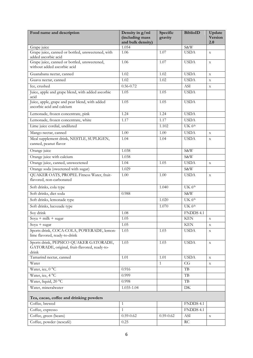<span id="page-8-0"></span>

| Food name and description                                                                        | Density in g/ml<br>(including mass<br>and bulk density) | Specific<br>gravity | <b>BiblioID</b>    | Update<br><b>Version</b><br>2.0 |
|--------------------------------------------------------------------------------------------------|---------------------------------------------------------|---------------------|--------------------|---------------------------------|
| Grape juice                                                                                      | 1.054                                                   |                     | S&W                |                                 |
| Grape juice, canned or bottled, unsweetened, with<br>added ascorbic acid                         | 1.06                                                    | 1.07                | <b>USDA</b>        | $\mathbf X$                     |
| Grape juice, canned or bottled, unsweetened,<br>without added ascorbic acid                      | 1.06                                                    | 1.07                | <b>USDA</b>        | $\mathbf X$                     |
| Guanabana nectar, canned                                                                         | 1.02                                                    | 1.02                | <b>USDA</b>        | $\mathbf X$                     |
| Guava nectar, canned                                                                             | 1.02                                                    | 1.02                | <b>USDA</b>        | $\mathbf x$                     |
| Ice, crushed                                                                                     | $0.56 - 0.72$                                           |                     | ASI                | $\mathbf X$                     |
| Juice, apple and grape blend, with added ascorbic<br>acid                                        | 1.05                                                    | 1.05                | <b>USDA</b>        |                                 |
| Juice, apple, grape and pear blend, with added<br>ascorbic acid and calcium                      | 1.05                                                    | 1.05                | <b>USDA</b>        |                                 |
| Lemonade, frozen concentrate, pink                                                               | 1.24                                                    | 1.24                | <b>USDA</b>        |                                 |
| Lemonade, frozen concentrate, white                                                              | 1.17                                                    | 1.17                | <b>USDA</b>        |                                 |
| Lime juice cordial, undiluted                                                                    |                                                         | 1.102               | UK 6 <sup>th</sup> |                                 |
| Mango nectar, canned                                                                             | 1.00                                                    | 1.00                | <b>USDA</b>        | $\mathbf X$                     |
| Meal supplement drink, NESTLE, SUPLIGEN,<br>canned, peanut flavor                                | 1.04                                                    | 1.04                | <b>USDA</b>        | $\mathbf X$                     |
| Orange juice                                                                                     | 1.038                                                   |                     | S&W                |                                 |
| Orange juice with calcium                                                                        | 1.038                                                   |                     | S&W                |                                 |
| Orange juice, canned, unsweetened                                                                | 1.04                                                    | 1.05                | <b>USDA</b>        | $\mathbf X$                     |
| Orange soda (sweetened with sugar)                                                               | 1.029                                                   |                     | S&W                |                                 |
| QUAKER OATS, PROPEL Fitness Water, fruit-<br>flavored, non-carbonated                            | 1.00                                                    | 1.00                | <b>USDA</b>        | $\mathbf X$                     |
| Soft drinks, cola type                                                                           |                                                         | 1.040               | UK 6 <sup>th</sup> |                                 |
| Soft drinks, diet soda                                                                           | 0.988                                                   |                     | S&W                |                                 |
| Soft drinks, lemonade type                                                                       |                                                         | 1.020               | UK $6th$           |                                 |
| Soft drinks, lucozade type                                                                       |                                                         | 1.070               | UK 6 <sup>th</sup> |                                 |
| Soy drink                                                                                        | 1.08                                                    |                     | FNDDS 4.1          |                                 |
| Sova + milk + sugar                                                                              | 1.05                                                    |                     | <b>KEN</b>         | $\mathbf X$                     |
| $Soya + sugar$                                                                                   | 1.05                                                    |                     | <b>KEN</b>         | $\mathbf X$                     |
| Sports drink, COCA-COLA, POWERADE, lemon-<br>lime flavored, ready-to-drink                       | 1.03                                                    | 1.03                | <b>USDA</b>        | $\mathbf X$                     |
| Sports drink, PEPSICO QUAKER GATORADE,<br>GATORADE, original, fruit-flavored, ready-to-<br>drink | 1.03                                                    | 1.03                | <b>USDA</b>        | $\mathbf X$                     |
| Tamarind nectar, canned                                                                          | 1.01                                                    | 1.01                | <b>USDA</b>        | $\mathbf X$                     |
| Water                                                                                            |                                                         | $\mathbf{1}$        | CG                 | $\mathbf X$                     |
| Water, ice, 0 °C                                                                                 | 0.916                                                   |                     | TB                 |                                 |
| Water, ice, 4 °C                                                                                 | 0.999                                                   |                     | $\rm{TB}$          |                                 |
| Water, liquid, 20 °C                                                                             | 0.998                                                   |                     | TB                 |                                 |
| Water, mineralwater                                                                              | 1.035-1.04                                              |                     | DK                 |                                 |
| Tea, cacao, coffee and drinking powders                                                          |                                                         |                     |                    |                                 |
| Coffee, brewed                                                                                   | $\mathbf{1}$                                            |                     | FNDDS 4.1          |                                 |
| Coffee, expresso                                                                                 | $\mathbf{1}$                                            |                     | FNDDS 4.1          |                                 |
| Coffee, green (beans)                                                                            | $0.59 - 0.62$                                           | $0.59 - 0.62$       | ASI                | $\mathbf X$                     |
| Coffee, powder (nescafé)                                                                         | 0.25                                                    |                     | $\mathop{\rm RC}$  |                                 |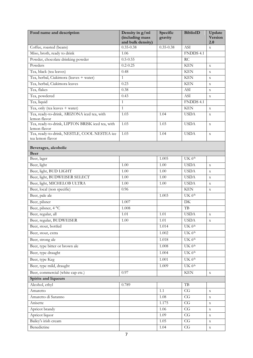<span id="page-9-0"></span>

| Food name and description                                        | Density in g/ml<br>(including mass<br>and bulk density) | Specific<br>gravity | <b>BiblioID</b>        | Update<br>Version<br>2.0 |
|------------------------------------------------------------------|---------------------------------------------------------|---------------------|------------------------|--------------------------|
| Coffee, roasted (beans)                                          | $0.35 - 0.38$                                           | $0.35 - 0.38$       | <b>ASI</b>             | $\mathbf{x}$             |
| Miso, broth, ready to drink                                      | 1.06                                                    |                     | FNDDS 4.1              |                          |
| Powder, chocolate drinking powder                                | $0.5 - 0.55$                                            |                     | RC                     |                          |
| Powders                                                          | $0.2 - 0.25$                                            |                     | <b>KEN</b>             | $\mathbf X$              |
| Tea, black (tea leaves)                                          | 0.48                                                    |                     | <b>KEN</b>             | $\mathbf X$              |
| Tea, herbal, Ciakimora (leaves + water)                          | $\mathbf{1}$                                            |                     | <b>KEN</b>             | $\mathbf x$              |
| Tea, herbal, Ciakimora leaves                                    | 0.23                                                    |                     | <b>KEN</b>             | $\mathbf X$              |
| Tea, flakes                                                      | 0.38                                                    |                     | ASI                    | $\mathbf X$              |
| Tea, powdered                                                    | 0.43                                                    |                     | ASI                    | $\mathbf X$              |
| Tea, liquid                                                      | $\mathbf{1}$                                            |                     | FNDDS 4.1              |                          |
| Tea, only (tea leaves $+$ water)                                 | $\mathbf{1}$                                            |                     | <b>KEN</b>             | $\mathbf X$              |
| Tea, ready-to-drink, ARIZONA iced tea, with                      | 1.03                                                    | 1.04                | <b>USDA</b>            | $\mathbf X$              |
| lemon flavor                                                     |                                                         |                     |                        |                          |
| Tea, ready-to-drink, LIPTON BRISK iced tea, with<br>lemon flavor | 1.03                                                    | 1.03                | <b>USDA</b>            | $\mathbf X$              |
| Tea, ready-to-drink, NESTLE, COOL NESTEA ice<br>tea lemon flavor | 1.03                                                    | 1.04                | <b>USDA</b>            | $\mathbf X$              |
| Beverages, alcoholic                                             |                                                         |                     |                        |                          |
| <b>Beer</b>                                                      |                                                         |                     |                        |                          |
| Beer, lager                                                      |                                                         | 1.005               | UK 6 <sup>th</sup>     |                          |
| Beer, light                                                      | 1.00                                                    | 1.00                | <b>USDA</b>            | $\mathbf x$              |
| Beer, light, BUD LIGHT                                           | 1.00                                                    | 1.00                | <b>USDA</b>            | $\mathbf X$              |
| Beer, light, BUDWEISER SELECT                                    | 1.00                                                    | 1.00                | <b>USDA</b>            | $\mathbf X$              |
| Beer, light, MICHELOB ULTRA                                      | 1.00                                                    | 1.00                | <b>USDA</b>            | $\mathbf X$              |
| Beer, local (non specific)                                       | 0.96                                                    |                     | <b>KEN</b>             | $\mathbf X$              |
| Beer, pale ale                                                   |                                                         | 1.003               | UK 6 <sup>th</sup>     |                          |
| Beer, pilsner                                                    | 1.007                                                   |                     | DK                     |                          |
| Beer, pilsner, 4 °C                                              | 1.008                                                   |                     | TB                     |                          |
| Beer, regular, all                                               | 1.01                                                    | 1.01                | <b>USDA</b>            | $\mathbf X$              |
| Beer, regular, BUDWEISER                                         | 1.00                                                    | 1.01                | <b>USDA</b>            | $\mathbf X$              |
| Beer, stout, bottled                                             |                                                         | 1.014               | UK $6th$               |                          |
| Beer, stout, extra                                               |                                                         | 1.002               | UK 6 <sup>th</sup>     |                          |
| Beer, strong ale                                                 |                                                         | 1.018               | UK 6 <sup>th</sup>     |                          |
| Beer, type bitter or brown ale                                   |                                                         | 1.008               | UK 6 <sup>th</sup>     |                          |
| Beer, type draught                                               |                                                         | 1.004               | UK 6 <sup>th</sup>     |                          |
| Beer, type Keg                                                   |                                                         | 1.001               | UK 6 <sup>th</sup>     |                          |
| Beer, type mild, draught                                         |                                                         | 1.009               | UK 6 <sup>th</sup>     |                          |
| Beer, commercial (white cap etc.)                                | 0.97                                                    |                     | <b>KEN</b>             | $\mathbf X$              |
| Spirits and liqueurs                                             |                                                         |                     |                        |                          |
| Alcohol, ethyl                                                   | 0.789                                                   |                     | TB                     |                          |
| Amaretto                                                         |                                                         | 1.1                 | CG                     | $\mathbf X$              |
| Amaretto di Saranno                                              |                                                         | 1.08                | $\overline{\text{CG}}$ | $\mathbf X$              |
| Anisette                                                         |                                                         | 1.175               | CG                     |                          |
| Apricot brandy                                                   |                                                         | 1.06                | CG                     | $\mathbf X$              |
| Apricot liquor                                                   |                                                         | 1.09                | CG                     | $\mathbf X$              |
| Bailey's irish cream                                             |                                                         | 1.05                | CG                     | $\mathbf X$              |
| Benedictine                                                      |                                                         | 1.04                | CG                     | $\mathbf X$              |
|                                                                  |                                                         |                     |                        | $\mathbf X$              |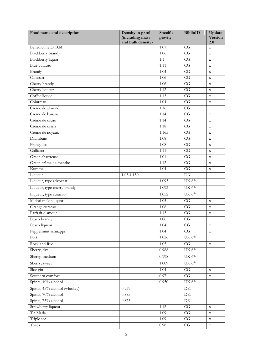| Food name and description      | Density in g/ml<br>(including mass<br>and bulk density) | Specific<br>gravity | <b>BiblioID</b>        | Update<br>Version<br>2.0 |
|--------------------------------|---------------------------------------------------------|---------------------|------------------------|--------------------------|
| Benedictine D.O.M.             |                                                         | 1.07                | CG                     | $\mathbf X$              |
| Blackberry brandy              |                                                         | 1.06                | CG                     | $\mathbf X$              |
| <b>Blackberry</b> liquor       |                                                         | 1.1                 | CG                     | $\mathbf X$              |
| Blue curacao                   |                                                         | 1.11                | CG                     | $\mathbf X$              |
| <b>Brandy</b>                  |                                                         | 1.04                | CG                     | $\mathbf X$              |
| Campari                        |                                                         | 1.06                | $\overline{\text{CG}}$ | $\mathbf x$              |
| Cherry brandy                  |                                                         | 1.06                | CG                     | $\mathbf X$              |
| Cherry liqueur                 |                                                         | 1.12                | $\overline{\text{CG}}$ | $\mathbf X$              |
| Coffee liquor                  |                                                         | 1.13                | CG                     | $\mathbf X$              |
| Cointreau                      |                                                         | 1.04                | CG                     | $\mathbf X$              |
| Crème de almond                |                                                         | 1.16                | $\overline{\text{CG}}$ | $\mathbf X$              |
| Crème de banana                |                                                         | 1.14                | CG                     | $\mathbf X$              |
| Crème de cacao                 |                                                         | 1.14                | $\overline{\text{CG}}$ | $\mathbf X$              |
| Creme de cassis                |                                                         | 1.18                | $\overline{\text{CG}}$ | $\mathbf X$              |
| Crème de noyaux                |                                                         | 1.165               | CG                     | $\mathbf X$              |
| Drambuie                       |                                                         | 1.08                | CG                     | $\mathbf X$              |
| Frangelico                     |                                                         | 1.08                | $\overline{\text{CG}}$ | $\mathbf X$              |
| Galliano                       |                                                         | 1.11                | CG                     | $\mathbf X$              |
| Green chartreuse               |                                                         | 1.01                | CG                     | $\mathbf x$              |
| Green crème de menthe          |                                                         | 1.12                | CG                     | $\mathbf X$              |
| Kummel                         |                                                         | 1.04                | $\overline{\text{CG}}$ | $\mathbf X$              |
| Liqueur                        | 1.03-1.150                                              |                     | $\overline{DK}$        |                          |
| Liqueur, type advocaat         |                                                         | 1.093               | UK 6 <sup>th</sup>     |                          |
| Liqueur, type cherry brandy    |                                                         | 1.093               | UK 6th                 |                          |
| Liqueur, type curacao          |                                                         | 1.052               | UK 6 <sup>th</sup>     |                          |
| Midori melon liquor            |                                                         | 1.05                | CG                     | $\mathbf x$              |
| Orange curacao                 |                                                         | 1.08                | $\overline{\text{CG}}$ | $\mathbf X$              |
| Parfrait d'amour               |                                                         | 1.13                | CG                     | $\mathbf X$              |
| Peach brandy                   |                                                         | 1.06                | CG                     | $\mathbf X$              |
| Peach liqueur                  |                                                         | 1.04                | CG                     | $\mathbf X$              |
| Peppermint schnapps            |                                                         | 1.04                | CG                     | $\mathbf X$              |
| Port                           |                                                         | 1.026               | UK 6 <sup>th</sup>     |                          |
| Rock and Rye                   |                                                         | 1.05                | $\overline{\text{CG}}$ | $\mathbf X$              |
| Sherry, dry                    |                                                         | 0.988               | UK 6 <sup>th</sup>     |                          |
| Sherry, medium                 |                                                         | 0.998               | UK 6 <sup>th</sup>     |                          |
| Sherry, sweet                  |                                                         | 1.009               | UK 6 <sup>th</sup>     |                          |
| Sloe gin                       |                                                         | 1.04                | CG                     | $\mathbf X$              |
| Southern comfort               |                                                         | 0.97                | CG                     | $\mathbf X$              |
| Spirits, 40% alcohol           |                                                         | 0.950               | UK 6 <sup>th</sup>     |                          |
| Spirits, 45% alcohol (whiskey) | 0.939                                                   |                     | DK                     |                          |
| Spirits, 70% alcohol           | 0.885                                                   |                     | DK                     |                          |
| Spirits, 75% alcohol           | 0.873                                                   |                     | DK                     |                          |
| Strawberry liqueur             |                                                         | 1.12                | CG                     | $\mathbf X$              |
| Tia Maria                      |                                                         | 1.09                | $\mathbf{C}\mathbf{G}$ | $\mathbf X$              |
| Triple sec                     |                                                         | 1.09                | CG                     | $\mathbf X$              |
| Tuaca                          |                                                         | $0.98\,$            | $\rm{CG}$              | $\mathbf X$              |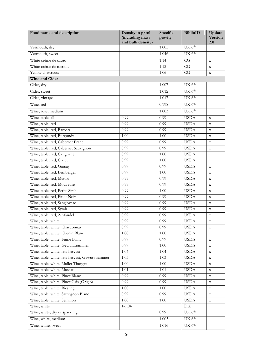| Food name and description                        | Density in g/ml<br>(including mass<br>and bulk density) | Specific<br>gravity | <b>BiblioID</b>              | Update<br><b>Version</b><br>2.0 |
|--------------------------------------------------|---------------------------------------------------------|---------------------|------------------------------|---------------------------------|
| Vermouth, dry                                    |                                                         | 1.005               | UK 6 <sup>th</sup>           |                                 |
| Vermouth, sweet                                  |                                                         | 1.046               | UK 6 <sup>th</sup>           |                                 |
| White crème de cacao                             |                                                         | 1.14                | $\overline{\text{CG}}$       | $\mathbf X$                     |
| White crème de menthe                            |                                                         | 1.12                | CG                           | $\mathbf X$                     |
| Yellow chartreuse                                |                                                         | 1.06                | CG                           | $\mathbf x$                     |
| Wine and Cider                                   |                                                         |                     |                              |                                 |
| Cider, dry                                       |                                                         | 1.007               | UK 6 <sup>th</sup>           |                                 |
| Cider, sweet                                     |                                                         | 1.012               | UK 6 <sup>th</sup>           |                                 |
| Cider, vintage                                   |                                                         | 1.017               | UK 6 <sup>th</sup>           |                                 |
| Wine, red                                        |                                                         | 0.998               | UK 6 <sup>th</sup>           |                                 |
| Wine, rose, medium                               |                                                         | 1.003               | UK 6 <sup>th</sup>           |                                 |
| Wine, table, all                                 | 0.99                                                    | 0.99                | <b>USDA</b>                  | $\mathbf X$                     |
| Wine, table, red                                 | 0.99                                                    | 0.99                | <b>USDA</b>                  | $\mathbf X$                     |
| Wine, table, red, Barbera                        | 0.99                                                    | 0.99                | <b>USDA</b>                  | $\mathbf X$                     |
| Wine, table, red, Burgundy                       | 1.00                                                    | 1.00                | <b>USDA</b>                  | $\mathbf X$                     |
| Wine, table, red, Cabernet Franc                 | 0.99                                                    | 0.99                | <b>USDA</b>                  | $\mathbf X$                     |
| Wine, table, red, Cabernet Sauvignon             | 0.99                                                    | 0.99                | <b>USDA</b>                  | $\mathbf X$                     |
| Wine, table, red, Carignane                      | 0.99                                                    | 1.00                | <b>USDA</b>                  | $\mathbf X$                     |
| Wine, table, red, Claret                         | 0.99                                                    | 1.00                | <b>USDA</b>                  | $\mathbf X$                     |
| Wine, table, red, Gamay                          | 0.99                                                    | 0.99                | <b>USDA</b>                  | $\mathbf X$                     |
| Wine, table, red, Lemberger                      | 0.99                                                    | 1.00                | <b>USDA</b>                  | $\mathbf X$                     |
| Wine, table, red, Merlot                         | 0.99                                                    | 0.99                | <b>USDA</b>                  | $\mathbf X$                     |
| Wine, table, red, Mouvedre                       | 0.99                                                    | 0.99                | <b>USDA</b>                  | $\mathbf X$                     |
| Wine, table, red, Petite Sirah                   | 0.99                                                    | 1.00                | <b>USDA</b>                  | $\mathbf X$                     |
| Wine, table, red, Pinot Noir                     | 0.99                                                    | 0.99                | <b>USDA</b>                  | $\mathbf X$                     |
| Wine, table, red, Sangiovese                     | 0.99                                                    | 0.99                | <b>USDA</b>                  | $\mathbf X$                     |
| Wine, table, red, Syrah                          | 0.99                                                    | 0.99                | <b>USDA</b>                  | $\mathbf X$                     |
| Wine, table, red, Zinfandel                      | 0.99                                                    | 0.99                | <b>USDA</b>                  | $\mathbf X$                     |
| Wine, table, white                               | 0.99                                                    | 0.99                | <b>USDA</b>                  | X                               |
| Wine, table, white, Chardonnay                   | 0.99                                                    | 0.99                | <b>USDA</b>                  | $\mathbf X$                     |
| Wine, table, white, Chenin Blanc                 | 1.00                                                    | 1.00                | <b>USDA</b>                  | $\mathbf X$                     |
| Wine, table, white, Fume Blanc                   | 0.99                                                    | 0.99                | <b>USDA</b>                  | $\mathbf X$                     |
| Wine, table, white, Gewurztraminer               | 0.99                                                    | 1.00                | <b>USDA</b>                  | $\mathbf X$                     |
| Wine, table, white, late harvest                 | 1.04                                                    | 1.04                | <b>USDA</b>                  | $\mathbf X$                     |
| Wine, table, white, late harvest, Gewurztraminer | 1.03                                                    | 1.03                | <b>USDA</b>                  | $\mathbf X$                     |
| Wine, table, white, Muller Thurgau               | 1.00                                                    | 1.00                | <b>USDA</b>                  | $\mathbf X$                     |
| Wine, table, white, Muscat                       | 1.01                                                    | 1.01                | <b>USDA</b>                  | $\mathbf X$                     |
| Wine, table, white, Pinot Blanc                  | 0.99                                                    | 0.99                | <b>USDA</b>                  | $\mathbf X$                     |
| Wine, table, white, Pinot Gris (Grigio)          | 0.99                                                    | 0.99                | $\ensuremath{\mathsf{USDA}}$ | $\mathbf X$                     |
| Wine, table, white, Riesling                     | 1.00                                                    | 1.00                | <b>USDA</b>                  | $\mathbf X$                     |
| Wine, table, white, Sauvignon Blanc              | 0.99                                                    | 0.99                | <b>USDA</b>                  | $\mathbf X$                     |
| Wine, table, white, Semillon                     | 1.00                                                    | 1.00                | <b>USDA</b>                  | $\mathbf X$                     |
| Wine, white                                      | $1 - 1.04$                                              |                     | DK                           |                                 |
| Wine, white, dry or sparkling                    |                                                         | 0.995               | UK 6 <sup>th</sup>           |                                 |
| Wine, white, medium                              |                                                         | 1.005               | UK 6 <sup>th</sup>           |                                 |
| Wine, white, sweet                               |                                                         | 1.016               | UK 6 <sup>th</sup>           |                                 |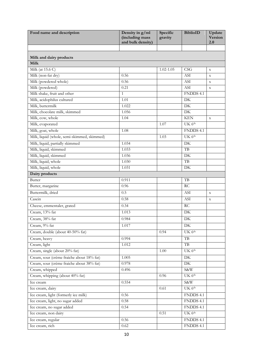<span id="page-12-0"></span>

| Food name and description                   | Density in g/ml<br>(including mass<br>and bulk density) | Specific<br>gravity | <b>BiblioID</b>     | Update<br><b>Version</b><br>2.0 |
|---------------------------------------------|---------------------------------------------------------|---------------------|---------------------|---------------------------------|
|                                             |                                                         |                     |                     |                                 |
| Milk and dairy products                     |                                                         |                     |                     |                                 |
| <b>Milk</b>                                 |                                                         |                     |                     |                                 |
| Milk (at 15.6 C)                            |                                                         | $1.02 - 1.05$       | CSG                 | $\mathbf X$                     |
| Milk (non-fat dry)                          | 0.56                                                    |                     | ASI                 | $\mathbf X$                     |
| Milk (powdered whole)                       | 0.56                                                    |                     | ASI                 | $\mathbf X$                     |
| Milk (powdered)                             | 0.21                                                    |                     | ASI                 | $\mathbf X$                     |
| Milk shake, fruit and other                 | $\mathbf{1}$                                            |                     | FNDDS 4.1           |                                 |
| Milk, acidophilus cultured                  | 1.01                                                    |                     | DK                  |                                 |
| Milk, buttermilk                            | 1.022                                                   |                     | DK                  |                                 |
| Milk, chocolate milk, skimmed               | 1.056                                                   |                     | DK                  |                                 |
| Milk, cow, whole                            | 1.04                                                    |                     | <b>KEN</b>          | $\mathbf X$                     |
| Milk, evaporated                            |                                                         | 1.07                | UK 6 <sup>th</sup>  |                                 |
| Milk, goat, whole                           | 1.08                                                    |                     | FNDDS 4.1           |                                 |
| Milk, liquid (whole, semi-skimmed, skimmed) |                                                         | 1.03                | UK 6 <sup>th</sup>  |                                 |
| Milk, liquid, partially skimmed             | 1.034                                                   |                     | DK                  |                                 |
| Milk, liquid, skimmed                       | 1.033                                                   |                     | TB                  |                                 |
| Milk, liquid, skimmed                       | 1.036                                                   |                     | DK                  |                                 |
| Milk, liquid, whole                         | 1.030                                                   |                     | $\rm{TB}$           |                                 |
| Milk, liquid, whole                         | 1.031                                                   |                     | DK                  |                                 |
| Dairy products                              |                                                         |                     |                     |                                 |
| <b>Butter</b>                               | 0.911                                                   |                     | TB                  |                                 |
| Butter, margarine                           | 0.96                                                    |                     | RC                  |                                 |
| Buttermilk, dried                           | 0.5                                                     |                     | <b>ASI</b>          | $\mathbf X$                     |
| Casein                                      | 0.58                                                    |                     | ASI                 | $\mathbf X$                     |
| Cheese, emmentaler, grated                  | 0.34                                                    |                     | RC                  |                                 |
| Cream, 13% fat                              | 1.013                                                   |                     | DK                  |                                 |
| Cream, 38% fat                              | 0.984                                                   |                     | DK                  |                                 |
| Cream, 9% fat                               | 1.017                                                   |                     | ${\rm DK}$          |                                 |
| Cream, double (about 40-50% fat)            |                                                         | 0.94                | UK 6 <sup>th</sup>  |                                 |
| Cream, heavy                                | 0.994                                                   |                     | TB                  |                                 |
| Cream, light                                | 1.012                                                   |                     | $\rm{TB}$           |                                 |
| Cream, single (about 20% fat)               |                                                         | 1.00                | UK 6 <sup>th</sup>  |                                 |
| Cream, sour (crème fraiche about 18% fat)   | 1.005                                                   |                     | ${\rm DK}$          |                                 |
| Cream, sour (crème fraiche about 38% fat)   | 0.978                                                   |                     | $\overline{\rm DK}$ |                                 |
| Cream, whipped                              | 0.496                                                   |                     | S&W                 |                                 |
| Cream, whipping (about 40% fat)             |                                                         | 0.96                | UK 6 <sup>th</sup>  |                                 |
| Ice cream                                   | 0.554                                                   |                     | S&W                 |                                 |
| Ice cream, dairy                            |                                                         | 0.61                | UK 6 <sup>th</sup>  |                                 |
| Ice cream, light (formerly ice milk)        | 0.56                                                    |                     | FNDDS 4.1           |                                 |
| Ice cream, light, no sugar added            | 0.58                                                    |                     | FNDDS 4.1           |                                 |
| Ice cream, no sugar added                   | 0.54                                                    |                     | FNDDS 4.1           |                                 |
| Ice cream, non dairy                        |                                                         | 0.51                | UK 6 <sup>th</sup>  |                                 |
| Ice cream, regular                          | 0.56                                                    |                     | FNDDS 4.1           |                                 |
| Ice cream, rich                             | 0.62                                                    |                     | FNDDS 4.1           |                                 |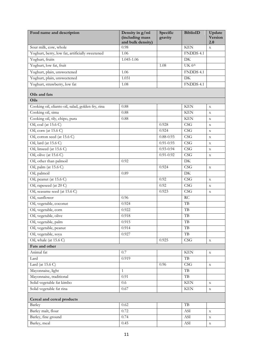<span id="page-13-1"></span><span id="page-13-0"></span>

| Food name and description                                              | Density in g/ml<br>(including mass<br>and bulk density) | Specific<br>gravity | <b>BiblioID</b>          | Update<br><b>Version</b><br>2.0 |
|------------------------------------------------------------------------|---------------------------------------------------------|---------------------|--------------------------|---------------------------------|
| Sour milk, cow, whole                                                  | 0.98                                                    |                     | <b>KEN</b>               | $\mathbf X$                     |
| Yoghurt, berry, low fat, artificially sweetened                        | 1.06                                                    |                     | FNDDS 4.1                |                                 |
| Yoghurt, fruits                                                        | 1.045-1.06                                              |                     | DK                       |                                 |
| Yoghurt, low fat, fruit                                                |                                                         | 1.08                | UK 6 <sup>th</sup>       |                                 |
| Yoghurt, plain, unsweetened                                            | 1.06                                                    |                     | FNDDS 4.1                |                                 |
| Yoghurt, plain, unsweetened                                            | 1.031                                                   |                     | DK                       |                                 |
| Yoghurt, strawberry, low fat                                           | 1.08                                                    |                     | FNDDS 4.1                |                                 |
| Oils and fats<br>Oils                                                  |                                                         |                     |                          |                                 |
|                                                                        |                                                         |                     |                          |                                 |
| Cooking oil, elianto oil, salad, golden fry, rina<br>Cooking oil, sima | 0.88<br>0.88                                            |                     | <b>KEN</b><br><b>KEN</b> | $\mathbf X$                     |
| Cooking oil, tily, chipo, pura                                         |                                                         |                     | <b>KEN</b>               | $\mathbf X$                     |
| Oil, cod (at 15.6 C)                                                   | 0.88                                                    | 0.928               | CSG                      | $\mathbf X$                     |
| Oil, corn (at 15.6 C)                                                  |                                                         | 0.924               | $\overline{\text{CSG}}$  | $\mathbf X$                     |
|                                                                        |                                                         | $0.88 - 0.93$       | CSG                      | $\mathbf X$                     |
| Oil, cotton seed (at 15.6 C)<br>Oil, lard (at 15.6 C)                  |                                                         | $0.91 - 0.93$       | $\overline{\text{CSG}}$  | $\mathbf X$                     |
|                                                                        |                                                         |                     |                          | $\mathbf X$                     |
| Oil, linseed (at 15.6 C)                                               |                                                         | $0.93 - 0.94$       | CSG                      | $\mathbf X$                     |
| Oil, olive (at 15.6 C)                                                 |                                                         | $0.91 - 0.92$       | CSG                      | $\mathbf X$                     |
| Oil, other than palmoil                                                | 0.92                                                    |                     | $\rm DK$                 |                                 |
| Oil, palm (at 15.6 C)                                                  |                                                         | 0.924               | CSG                      | $\mathbf X$                     |
| Oil, palmoil                                                           | 0.89                                                    |                     | DK                       |                                 |
| Oil, peanut (at 15.6 C)                                                |                                                         | 0.92                | CSG                      | $\mathbf X$                     |
| Oil, rapeseed (at 20 C)                                                |                                                         | 0.92                | CSG                      | $\mathbf X$                     |
| Oil, seasame seed (at 15.6 C)                                          |                                                         | 0.923               | CSG                      | $\mathbf X$                     |
| Oil, sunflower                                                         | 0.96                                                    |                     | RC                       |                                 |
| Oil, vegetable, coconut                                                | 0.924                                                   |                     | $\rm{TB}$                |                                 |
| Oil, vegetable, corn                                                   | 0.922                                                   |                     | TB                       |                                 |
| Oil, vegetable, olive                                                  | 0.918                                                   |                     | $\rm{TB}$                |                                 |
| Oil, vegetable, palm                                                   | 0.915                                                   |                     | TB                       |                                 |
| Oil, vegetable, peanut                                                 | 0.914                                                   |                     | $\rm{TB}$                |                                 |
| Oil, vegetable, soya                                                   | 0.927                                                   |                     | $\rm{TB}$                |                                 |
| Oil, whale (at 15.6 C)                                                 |                                                         | 0.925               | CSG                      | $\mathbf X$                     |
| Fats and other                                                         |                                                         |                     |                          |                                 |
| Animal fat                                                             | 0.7                                                     |                     | $\operatorname{KEN}$     | $\mathbf X$                     |
| Lard                                                                   | 0.919                                                   |                     | TB                       |                                 |
| Lard (at $15.6$ C)                                                     |                                                         | 0.96                | CSG                      | $\mathbf X$                     |
| Mayonnaise, light                                                      | $\mathbf{1}$                                            |                     | $_{\rm{TB}}$             |                                 |
| Mayonnaise, traditional                                                | 0.91                                                    |                     | $\rm{TB}$                |                                 |
| Solid vegetable fat kimbo                                              | 0.6                                                     |                     | $\operatorname{KEN}$     | $\mathbf X$                     |
| Solid vegetable fat rina                                               | 0.67                                                    |                     | <b>KEN</b>               | $\mathbf X$                     |
| Cereal and cereal products                                             |                                                         |                     | $\rm{TB}$                |                                 |
| Barley                                                                 | 0.62                                                    |                     |                          |                                 |
| Barley malt, flour                                                     | 0.72                                                    |                     | ASI                      | $\mathbf X$                     |
| Barley, fine ground                                                    | 0.74                                                    |                     | <b>ASI</b>               | $\mathbf X$                     |
| Barley, meal                                                           | 0.45                                                    |                     | ASI                      | $\mathbf X$                     |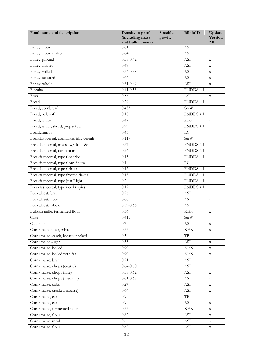| Food name and description                 | Density in g/ml<br>(including mass | Specific<br>gravity | <b>BiblioID</b>             | Update<br><b>Version</b> |
|-------------------------------------------|------------------------------------|---------------------|-----------------------------|--------------------------|
| Barley, flour                             | and bulk density)<br>0.61          |                     | <b>ASI</b>                  | 2.0<br>$\mathbf X$       |
| Barley, flour, malted                     | 0.64                               |                     | ASI                         | $\mathbf X$              |
| Barley, ground                            | $0.38 - 0.42$                      |                     | ASI                         | $\mathbf x$              |
| Barley, malted                            | 0.49                               |                     | ASI                         | $\mathbf X$              |
| Barley, rolled                            | $0.34 - 0.38$                      |                     | ASI                         | $\mathbf X$              |
| Barley, scoured                           | 0.66                               |                     | <b>ASI</b>                  | $\mathbf x$              |
| Barley, whole                             | $0.61 - 0.69$                      |                     | ASI                         | $\mathbf X$              |
| <b>Biscuits</b>                           | $0.41 - 0.53$                      |                     | FNDDS 4.1                   |                          |
| Bran                                      | 0.56                               |                     | ASI                         | $\mathbf X$              |
| <b>Bread</b>                              | 0.29                               |                     | FNDDS 4.1                   |                          |
| Bread, cornbread                          | 0.433                              |                     | S&W                         |                          |
| Bread, roll, soft                         | 0.18                               |                     | FNDDS 4.1                   |                          |
| Bread, white                              | 0.42                               |                     | <b>KEN</b>                  |                          |
| Bread, white, sliced, prepacked           | 0.29                               |                     | FNDDS 4.1                   | $\mathbf X$              |
| <b>Breadcrumbs</b>                        |                                    |                     | RC                          |                          |
| Breakfast cereal, cornflakes (dry cereal) | 0.45<br>0.117                      |                     |                             |                          |
| Breakfast cereal, muesli w/ fruits&nuts   |                                    |                     | S&W<br>FNDDS 4.1            |                          |
|                                           | 0.37                               |                     | FNDDS 4.1                   |                          |
| Breakfast cereal, raisin bran             | 0.26                               |                     | FNDDS 4.1                   |                          |
| Breakfast cereal, type Cheerios           | 0.13                               |                     |                             |                          |
| Breakfast cereal, type Corn flakes        | 0.1                                |                     | RC                          |                          |
| Breakfast cereal, type Crispix            | 0.13                               |                     | FNDDS 4.1                   |                          |
| Breakfast cereal, type frosted flakes     | 0.18                               |                     | FNDDS 4.1                   |                          |
| Breakfast cereal, type Just Right         | 0.24                               |                     | FNDDS 4.1                   |                          |
| Breakfast cereal, type rice krispies      | 0.12                               |                     | FNDDS 4.1                   |                          |
| Buckwheat, bran                           | 0.25                               |                     | ASI                         | $\mathbf X$              |
| Buckwheat, flour                          | 0.66                               |                     | ASI                         | $\mathbf X$              |
| Buckwheat, whole                          | $0.59 - 0.66$                      |                     | <b>ASI</b>                  | $\mathbf X$              |
| Bulrush mille, fermented flour            | 0.56                               |                     | <b>KEN</b>                  | $\mathbf X$              |
| Cake                                      | 0.415                              |                     | S&W                         |                          |
| Cake mix                                  | 0.7                                |                     | ASI                         | $\mathbf X$              |
| Corn/maize flour, white                   | 0.55                               |                     | <b>KEN</b>                  | $\mathbf X$              |
| Corn/maize starch, loosely packed         | 0.54                               |                     | TB                          |                          |
| Corn/maize sugar                          | 0.33                               |                     | ASI                         | $\mathbf X$              |
| Corn/maize, boiled                        | 0.90                               |                     | <b>KEN</b>                  | $\mathbf X$              |
| Corn/maize, boiled with fat               | 0.90                               |                     | <b>KEN</b>                  | $\mathbf X$              |
| Corn/maize, bran                          | 0.21                               |                     | ASI                         | $\mathbf X$              |
| Corn/maize, chops (coarse)                | $0.64 - 0.70$                      |                     | $\boldsymbol{ASI}$          | $\mathbf X$              |
| Corn/maize, chops (fine)                  | $0.58 - 0.62$                      |                     | ASI                         | $\mathbf X$              |
| Corn/maize, chops (medium)                | $0.61 - 0.67$                      |                     | $\boldsymbol{ASI}$          | $\mathbf X$              |
| Corn/maize, cobs                          | 0.27                               |                     | $\boldsymbol{\mathrm{ASI}}$ | $\mathbf X$              |
| Corn/maize, cracked (coarse)              | 0.64                               |                     | ASI                         | $\mathbf X$              |
| Corn/maize, ear                           | 0.9                                |                     | $_{\rm TB}$                 |                          |
| Corn/maize, ear                           | 0.9                                |                     | ASI                         | $\mathbf X$              |
| Corn/maize, fermented flour               | 0.55                               |                     | <b>KEN</b>                  | $\mathbf X$              |
| Corn/maize, flour                         | 0.82                               |                     | ASI                         | $\mathbf X$              |
| Corn/maize, meal                          | 0.64                               |                     | ASI                         | $\mathbf X$              |
| Corn/maize, flour                         | 0.62                               |                     | ASI                         | $\mathbf X$              |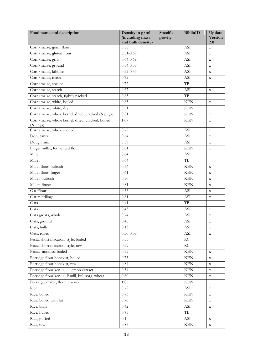| Food name and description                                    | Density in g/ml<br>(including mass<br>and bulk density) | Specific<br>gravity | <b>BiblioID</b>      | Update<br><b>Version</b><br>2.0 |
|--------------------------------------------------------------|---------------------------------------------------------|---------------------|----------------------|---------------------------------|
| Corn/maize, germ flour                                       | 0.56                                                    |                     | <b>ASI</b>           | $\mathbf X$                     |
| Corn/maize, gluten flour                                     | $0.51 - 0.69$                                           |                     | ASI                  | $\mathbf X$                     |
| Corn/maize, grits                                            | $0.64 - 0.69$                                           |                     | ASI                  | $\mathbf X$                     |
| Corn/maize, ground                                           | $0.54 - 0.58$                                           |                     | ASI                  | $\mathbf X$                     |
| Corn/maize, kibbled                                          | $0.32 - 0.35$                                           |                     | ASI                  | $\mathbf X$                     |
| Corn/maize, mash                                             | 0.72                                                    |                     | <b>ASI</b>           | $\mathbf X$                     |
| Corn/maize, shelled                                          | 0.72                                                    |                     | TB                   |                                 |
| Corn/maize, starch                                           | 0.67                                                    |                     | ASI                  | $\mathbf X$                     |
| Corn/maize, starch, tightly packed                           | 0.63                                                    |                     | TB                   |                                 |
| Corn/maize, white, boiled                                    | 0.85                                                    |                     | <b>KEN</b>           | $\mathbf X$                     |
| Corn/maize, white, dry                                       | 0.81                                                    |                     | <b>KEN</b>           | $\mathbf X$                     |
| Corn/maize, whole kernel, dried, cracked (Njenga)            | 0.81                                                    |                     | <b>KEN</b>           | $\mathbf X$                     |
| Corn/maize, whole kernel, dried, cracked, boiled<br>(Njenga) | 1.07                                                    |                     | <b>KEN</b>           | $\mathbf X$                     |
| Corn/maize, whole shelled                                    | 0.72                                                    |                     | ASI                  | $\mathbf X$                     |
| Donut mix                                                    | 0.64                                                    |                     | <b>ASI</b>           | $\mathbf X$                     |
| Dough mix                                                    | 0.59                                                    |                     | ASI                  | $\mathbf X$                     |
| Finger millet, fermented flour                               | 0.61                                                    |                     | <b>KEN</b>           | $\mathbf X$                     |
| Millet                                                       | 0.64                                                    |                     | <b>ASI</b>           | $\mathbf X$                     |
| Millet                                                       | 0.64                                                    |                     | $\rm{TB}$            |                                 |
| Millet flour, bulrush                                        | 0.56                                                    |                     | <b>KEN</b>           | $\mathbf X$                     |
| Millet flour, finger                                         | 0.61                                                    |                     | <b>KEN</b>           | $\mathbf X$                     |
| Millet, bulrush                                              | 0.90                                                    |                     | <b>KEN</b>           | $\mathbf x$                     |
| Millet, finger                                               | 0.81                                                    |                     | <b>KEN</b>           | $\mathbf X$                     |
| Oat Flour                                                    | 0.53                                                    |                     | ASI                  | $\mathbf x$                     |
| Oat middlings                                                | 0.61                                                    |                     | ASI                  | $\mathbf X$                     |
| Oats                                                         | 0.41                                                    |                     | TB                   |                                 |
| Oats                                                         | 0.43                                                    |                     | ASI                  | $\mathbf X$                     |
| Oats groats, whole                                           | 0.74                                                    |                     | ASI                  | $\mathbf X$                     |
| Oats, ground                                                 | 0.46                                                    |                     | <b>ASI</b>           | x                               |
| Oats, hulls                                                  | 0.13                                                    |                     | ASI                  | $\mathbf X$                     |
| Oats, rolled                                                 | $0.30 - 0.38$                                           |                     | <b>ASI</b>           | $\mathbf X$                     |
| Pasta, short macaroni style, boiled                          | 0.55                                                    |                     | $\mathop{\rm RC}$    |                                 |
| Pasta, short macaroni style, raw                             | 0.39                                                    |                     | RC                   |                                 |
| Pasta/ noodles, boiled                                       | 0.59                                                    |                     | <b>KEN</b>           | $\mathbf X$                     |
| Porridge flour bonavist, boiled                              | 0.73                                                    |                     | <b>KEN</b>           | $\mathbf X$                     |
| Porridge flour bonavist, raw                                 | 0.84                                                    |                     | <b>KEN</b>           | $\mathbf X$                     |
| Porridge flour ken-uji + lemon extract                       | 0.54                                                    |                     | <b>KEN</b>           | $\mathbf X$                     |
| Porridge flour ken-uji:F.mill, bul, sorg, wheat              | 0.60                                                    |                     | <b>KEN</b>           | $\mathbf X$                     |
| Porridge, maize, flour + water                               | 1.05                                                    |                     | <b>KEN</b>           | $\mathbf X$                     |
| Rice                                                         | 0.72                                                    |                     | ASI                  | $\mathbf X$                     |
| Rice, boiled                                                 | 0.73                                                    |                     | $\operatorname{KEN}$ | $\mathbf X$                     |
| Rice, boiled with fat                                        | 0.70                                                    |                     | <b>KEN</b>           | $\mathbf X$                     |
| Rice, bran                                                   | 0.42                                                    |                     | $\operatorname{ASI}$ | $\mathbf X$                     |
| Rice, hulled                                                 | 0.75                                                    |                     | TB                   |                                 |
| Rice, puffed                                                 | 0.1                                                     |                     | ASI                  | $\mathbf X$                     |
| Rice, raw                                                    | 0.85                                                    |                     | <b>KEN</b>           | $\mathbf X$                     |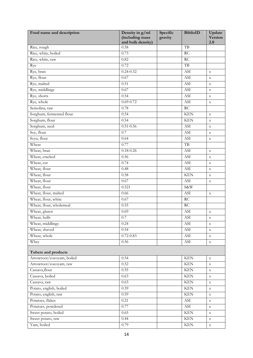<span id="page-16-0"></span>

| and bulk density)<br>2.0<br>TB<br>Rice, rough<br>0.58<br>Rice, white, boiled<br>RC<br>0.73<br>Rice, white, raw<br>RC<br>0.82<br>0.72<br>TB<br>Rye<br>Rye, bran<br>$0.24 - 0.32$<br>ASI<br>$\mathbf X$<br>Rye, flour<br>0.67<br><b>ASI</b><br>$\mathbf X$<br>Rye, malted<br>0.51<br>ASI<br>$\mathbf X$<br>Rye, middlings<br>0.67<br>$\boldsymbol{ASI}$<br>$\mathbf X$<br>Rye, shorts<br>0.54<br>ASI<br>$\mathbf X$<br>Rye, whole<br>$0.69 - 0.72$<br>ASI<br>$\mathbf X$<br>Semolina, raw<br>RC<br>0.78<br>Sorghum, fermented flour<br>0.54<br><b>KEN</b><br>$\mathbf X$<br>Sorghum, flour<br>0.54<br><b>KEN</b><br>$\mathbf X$<br>Sorghum, seed<br>$0.51 - 0.56$<br><b>ASI</b><br>$\mathbf X$<br>Soy, flour<br>0.7<br>ASI<br>$\mathbf X$<br>Soya, flour<br>0.64<br>ASI<br>$\mathbf X$<br>Wheat<br>TB<br>0.77<br>Wheat, bran<br>$0.18 - 0.26$<br>ASI<br>$\mathbf X$<br>Wheat, cracked<br>0.56<br><b>ASI</b><br>$\mathbf X$<br>Wheat, cut<br>0.74<br>ASI<br>$\mathbf X$<br>Wheat, flour<br>ASI<br>0.48<br>$\mathbf X$<br>Wheat, flour<br>0.58<br><b>KEN</b><br>$\mathbf X$<br>Wheat, flour<br>0.67<br>ASI<br>$\mathbf X$<br>Wheat, flour<br>S&W<br>0.521<br>Wheat, flour, malted<br><b>ASI</b><br>0.66<br>$\mathbf X$<br>Wheat, flour, white<br>0.67<br>$\mathop{\rm RC}$<br>Wheat, flour, wholemeal<br>0.55<br>$\overline{RC}$<br>ASI<br>Wheat, gluten<br>0.69<br>$\mathbf X$<br>Wheat, hulls<br>0.7<br>ASI<br>$\mathbf X$<br>Wheat, middlings<br>0.24<br>ASI<br>$\mathbf X$<br>Wheat, shaved<br>0.54<br>$\boldsymbol{ASI}$<br>$\mathbf X$<br>Wheat, whole<br>$0.72 - 0.83$<br><b>ASI</b><br>$\mathbf X$<br>Whey<br>0.56<br>ASI<br>$\mathbf X$<br>Tubers and products<br>Arrowroot/cocoyam, boiled<br><b>KEN</b><br>0.54<br>$\mathbf X$<br>Arrowroot/cocoyam, raw<br>0.52<br><b>KEN</b><br>$\mathbf X$<br>Cassava, flour<br>0.55<br><b>KEN</b><br>$\mathbf X$<br>Cassava, boiled<br><b>KEN</b><br>0.63<br>$\mathbf X$<br>$\overline{\text{KEN}}$<br>Cassava, raw<br>0.63<br>$\mathbf X$<br>Potato, english, boiled<br>0.59<br>$\operatorname{KEN}$<br>$\mathbf X$<br>Potato, english, raw<br>0.59<br><b>KEN</b><br>$\mathbf X$<br>Potatoes, flakes<br>0.21<br>$\operatorname{ASI}$<br>$\mathbf X$<br>Potatoes, powdered<br><b>ASI</b><br>0.77<br>$\mathbf X$<br>Sweet potato, boiled<br><b>KEN</b><br>0.65<br>$\mathbf X$<br>Sweet potato, raw<br>$\operatorname{KEN}$<br>0.44<br>$\mathbf X$<br>0.79<br>$\mathbf X$ | Food name and description | Density in g/ml<br>(including mass | Specific<br>gravity | <b>BiblioID</b> | Update<br><b>Version</b> |
|--------------------------------------------------------------------------------------------------------------------------------------------------------------------------------------------------------------------------------------------------------------------------------------------------------------------------------------------------------------------------------------------------------------------------------------------------------------------------------------------------------------------------------------------------------------------------------------------------------------------------------------------------------------------------------------------------------------------------------------------------------------------------------------------------------------------------------------------------------------------------------------------------------------------------------------------------------------------------------------------------------------------------------------------------------------------------------------------------------------------------------------------------------------------------------------------------------------------------------------------------------------------------------------------------------------------------------------------------------------------------------------------------------------------------------------------------------------------------------------------------------------------------------------------------------------------------------------------------------------------------------------------------------------------------------------------------------------------------------------------------------------------------------------------------------------------------------------------------------------------------------------------------------------------------------------------------------------------------------------------------------------------------------------------------------------------------------------------------------------------------------------------------------------------------------------------------------------------------------------------------------------------------------------------------------------------------------------------------------------------------------------------------------------------|---------------------------|------------------------------------|---------------------|-----------------|--------------------------|
|                                                                                                                                                                                                                                                                                                                                                                                                                                                                                                                                                                                                                                                                                                                                                                                                                                                                                                                                                                                                                                                                                                                                                                                                                                                                                                                                                                                                                                                                                                                                                                                                                                                                                                                                                                                                                                                                                                                                                                                                                                                                                                                                                                                                                                                                                                                                                                                                                    |                           |                                    |                     |                 |                          |
|                                                                                                                                                                                                                                                                                                                                                                                                                                                                                                                                                                                                                                                                                                                                                                                                                                                                                                                                                                                                                                                                                                                                                                                                                                                                                                                                                                                                                                                                                                                                                                                                                                                                                                                                                                                                                                                                                                                                                                                                                                                                                                                                                                                                                                                                                                                                                                                                                    |                           |                                    |                     |                 |                          |
|                                                                                                                                                                                                                                                                                                                                                                                                                                                                                                                                                                                                                                                                                                                                                                                                                                                                                                                                                                                                                                                                                                                                                                                                                                                                                                                                                                                                                                                                                                                                                                                                                                                                                                                                                                                                                                                                                                                                                                                                                                                                                                                                                                                                                                                                                                                                                                                                                    |                           |                                    |                     |                 |                          |
|                                                                                                                                                                                                                                                                                                                                                                                                                                                                                                                                                                                                                                                                                                                                                                                                                                                                                                                                                                                                                                                                                                                                                                                                                                                                                                                                                                                                                                                                                                                                                                                                                                                                                                                                                                                                                                                                                                                                                                                                                                                                                                                                                                                                                                                                                                                                                                                                                    |                           |                                    |                     |                 |                          |
|                                                                                                                                                                                                                                                                                                                                                                                                                                                                                                                                                                                                                                                                                                                                                                                                                                                                                                                                                                                                                                                                                                                                                                                                                                                                                                                                                                                                                                                                                                                                                                                                                                                                                                                                                                                                                                                                                                                                                                                                                                                                                                                                                                                                                                                                                                                                                                                                                    |                           |                                    |                     |                 |                          |
|                                                                                                                                                                                                                                                                                                                                                                                                                                                                                                                                                                                                                                                                                                                                                                                                                                                                                                                                                                                                                                                                                                                                                                                                                                                                                                                                                                                                                                                                                                                                                                                                                                                                                                                                                                                                                                                                                                                                                                                                                                                                                                                                                                                                                                                                                                                                                                                                                    |                           |                                    |                     |                 |                          |
|                                                                                                                                                                                                                                                                                                                                                                                                                                                                                                                                                                                                                                                                                                                                                                                                                                                                                                                                                                                                                                                                                                                                                                                                                                                                                                                                                                                                                                                                                                                                                                                                                                                                                                                                                                                                                                                                                                                                                                                                                                                                                                                                                                                                                                                                                                                                                                                                                    |                           |                                    |                     |                 |                          |
|                                                                                                                                                                                                                                                                                                                                                                                                                                                                                                                                                                                                                                                                                                                                                                                                                                                                                                                                                                                                                                                                                                                                                                                                                                                                                                                                                                                                                                                                                                                                                                                                                                                                                                                                                                                                                                                                                                                                                                                                                                                                                                                                                                                                                                                                                                                                                                                                                    |                           |                                    |                     |                 |                          |
|                                                                                                                                                                                                                                                                                                                                                                                                                                                                                                                                                                                                                                                                                                                                                                                                                                                                                                                                                                                                                                                                                                                                                                                                                                                                                                                                                                                                                                                                                                                                                                                                                                                                                                                                                                                                                                                                                                                                                                                                                                                                                                                                                                                                                                                                                                                                                                                                                    |                           |                                    |                     |                 |                          |
|                                                                                                                                                                                                                                                                                                                                                                                                                                                                                                                                                                                                                                                                                                                                                                                                                                                                                                                                                                                                                                                                                                                                                                                                                                                                                                                                                                                                                                                                                                                                                                                                                                                                                                                                                                                                                                                                                                                                                                                                                                                                                                                                                                                                                                                                                                                                                                                                                    |                           |                                    |                     |                 |                          |
|                                                                                                                                                                                                                                                                                                                                                                                                                                                                                                                                                                                                                                                                                                                                                                                                                                                                                                                                                                                                                                                                                                                                                                                                                                                                                                                                                                                                                                                                                                                                                                                                                                                                                                                                                                                                                                                                                                                                                                                                                                                                                                                                                                                                                                                                                                                                                                                                                    |                           |                                    |                     |                 |                          |
|                                                                                                                                                                                                                                                                                                                                                                                                                                                                                                                                                                                                                                                                                                                                                                                                                                                                                                                                                                                                                                                                                                                                                                                                                                                                                                                                                                                                                                                                                                                                                                                                                                                                                                                                                                                                                                                                                                                                                                                                                                                                                                                                                                                                                                                                                                                                                                                                                    |                           |                                    |                     |                 |                          |
|                                                                                                                                                                                                                                                                                                                                                                                                                                                                                                                                                                                                                                                                                                                                                                                                                                                                                                                                                                                                                                                                                                                                                                                                                                                                                                                                                                                                                                                                                                                                                                                                                                                                                                                                                                                                                                                                                                                                                                                                                                                                                                                                                                                                                                                                                                                                                                                                                    |                           |                                    |                     |                 |                          |
|                                                                                                                                                                                                                                                                                                                                                                                                                                                                                                                                                                                                                                                                                                                                                                                                                                                                                                                                                                                                                                                                                                                                                                                                                                                                                                                                                                                                                                                                                                                                                                                                                                                                                                                                                                                                                                                                                                                                                                                                                                                                                                                                                                                                                                                                                                                                                                                                                    |                           |                                    |                     |                 |                          |
|                                                                                                                                                                                                                                                                                                                                                                                                                                                                                                                                                                                                                                                                                                                                                                                                                                                                                                                                                                                                                                                                                                                                                                                                                                                                                                                                                                                                                                                                                                                                                                                                                                                                                                                                                                                                                                                                                                                                                                                                                                                                                                                                                                                                                                                                                                                                                                                                                    |                           |                                    |                     |                 |                          |
|                                                                                                                                                                                                                                                                                                                                                                                                                                                                                                                                                                                                                                                                                                                                                                                                                                                                                                                                                                                                                                                                                                                                                                                                                                                                                                                                                                                                                                                                                                                                                                                                                                                                                                                                                                                                                                                                                                                                                                                                                                                                                                                                                                                                                                                                                                                                                                                                                    |                           |                                    |                     |                 |                          |
|                                                                                                                                                                                                                                                                                                                                                                                                                                                                                                                                                                                                                                                                                                                                                                                                                                                                                                                                                                                                                                                                                                                                                                                                                                                                                                                                                                                                                                                                                                                                                                                                                                                                                                                                                                                                                                                                                                                                                                                                                                                                                                                                                                                                                                                                                                                                                                                                                    |                           |                                    |                     |                 |                          |
|                                                                                                                                                                                                                                                                                                                                                                                                                                                                                                                                                                                                                                                                                                                                                                                                                                                                                                                                                                                                                                                                                                                                                                                                                                                                                                                                                                                                                                                                                                                                                                                                                                                                                                                                                                                                                                                                                                                                                                                                                                                                                                                                                                                                                                                                                                                                                                                                                    |                           |                                    |                     |                 |                          |
|                                                                                                                                                                                                                                                                                                                                                                                                                                                                                                                                                                                                                                                                                                                                                                                                                                                                                                                                                                                                                                                                                                                                                                                                                                                                                                                                                                                                                                                                                                                                                                                                                                                                                                                                                                                                                                                                                                                                                                                                                                                                                                                                                                                                                                                                                                                                                                                                                    |                           |                                    |                     |                 |                          |
|                                                                                                                                                                                                                                                                                                                                                                                                                                                                                                                                                                                                                                                                                                                                                                                                                                                                                                                                                                                                                                                                                                                                                                                                                                                                                                                                                                                                                                                                                                                                                                                                                                                                                                                                                                                                                                                                                                                                                                                                                                                                                                                                                                                                                                                                                                                                                                                                                    |                           |                                    |                     |                 |                          |
|                                                                                                                                                                                                                                                                                                                                                                                                                                                                                                                                                                                                                                                                                                                                                                                                                                                                                                                                                                                                                                                                                                                                                                                                                                                                                                                                                                                                                                                                                                                                                                                                                                                                                                                                                                                                                                                                                                                                                                                                                                                                                                                                                                                                                                                                                                                                                                                                                    |                           |                                    |                     |                 |                          |
|                                                                                                                                                                                                                                                                                                                                                                                                                                                                                                                                                                                                                                                                                                                                                                                                                                                                                                                                                                                                                                                                                                                                                                                                                                                                                                                                                                                                                                                                                                                                                                                                                                                                                                                                                                                                                                                                                                                                                                                                                                                                                                                                                                                                                                                                                                                                                                                                                    |                           |                                    |                     |                 |                          |
|                                                                                                                                                                                                                                                                                                                                                                                                                                                                                                                                                                                                                                                                                                                                                                                                                                                                                                                                                                                                                                                                                                                                                                                                                                                                                                                                                                                                                                                                                                                                                                                                                                                                                                                                                                                                                                                                                                                                                                                                                                                                                                                                                                                                                                                                                                                                                                                                                    |                           |                                    |                     |                 |                          |
|                                                                                                                                                                                                                                                                                                                                                                                                                                                                                                                                                                                                                                                                                                                                                                                                                                                                                                                                                                                                                                                                                                                                                                                                                                                                                                                                                                                                                                                                                                                                                                                                                                                                                                                                                                                                                                                                                                                                                                                                                                                                                                                                                                                                                                                                                                                                                                                                                    |                           |                                    |                     |                 |                          |
|                                                                                                                                                                                                                                                                                                                                                                                                                                                                                                                                                                                                                                                                                                                                                                                                                                                                                                                                                                                                                                                                                                                                                                                                                                                                                                                                                                                                                                                                                                                                                                                                                                                                                                                                                                                                                                                                                                                                                                                                                                                                                                                                                                                                                                                                                                                                                                                                                    |                           |                                    |                     |                 |                          |
|                                                                                                                                                                                                                                                                                                                                                                                                                                                                                                                                                                                                                                                                                                                                                                                                                                                                                                                                                                                                                                                                                                                                                                                                                                                                                                                                                                                                                                                                                                                                                                                                                                                                                                                                                                                                                                                                                                                                                                                                                                                                                                                                                                                                                                                                                                                                                                                                                    |                           |                                    |                     |                 |                          |
|                                                                                                                                                                                                                                                                                                                                                                                                                                                                                                                                                                                                                                                                                                                                                                                                                                                                                                                                                                                                                                                                                                                                                                                                                                                                                                                                                                                                                                                                                                                                                                                                                                                                                                                                                                                                                                                                                                                                                                                                                                                                                                                                                                                                                                                                                                                                                                                                                    |                           |                                    |                     |                 |                          |
|                                                                                                                                                                                                                                                                                                                                                                                                                                                                                                                                                                                                                                                                                                                                                                                                                                                                                                                                                                                                                                                                                                                                                                                                                                                                                                                                                                                                                                                                                                                                                                                                                                                                                                                                                                                                                                                                                                                                                                                                                                                                                                                                                                                                                                                                                                                                                                                                                    |                           |                                    |                     |                 |                          |
|                                                                                                                                                                                                                                                                                                                                                                                                                                                                                                                                                                                                                                                                                                                                                                                                                                                                                                                                                                                                                                                                                                                                                                                                                                                                                                                                                                                                                                                                                                                                                                                                                                                                                                                                                                                                                                                                                                                                                                                                                                                                                                                                                                                                                                                                                                                                                                                                                    |                           |                                    |                     |                 |                          |
|                                                                                                                                                                                                                                                                                                                                                                                                                                                                                                                                                                                                                                                                                                                                                                                                                                                                                                                                                                                                                                                                                                                                                                                                                                                                                                                                                                                                                                                                                                                                                                                                                                                                                                                                                                                                                                                                                                                                                                                                                                                                                                                                                                                                                                                                                                                                                                                                                    |                           |                                    |                     |                 |                          |
|                                                                                                                                                                                                                                                                                                                                                                                                                                                                                                                                                                                                                                                                                                                                                                                                                                                                                                                                                                                                                                                                                                                                                                                                                                                                                                                                                                                                                                                                                                                                                                                                                                                                                                                                                                                                                                                                                                                                                                                                                                                                                                                                                                                                                                                                                                                                                                                                                    |                           |                                    |                     |                 |                          |
|                                                                                                                                                                                                                                                                                                                                                                                                                                                                                                                                                                                                                                                                                                                                                                                                                                                                                                                                                                                                                                                                                                                                                                                                                                                                                                                                                                                                                                                                                                                                                                                                                                                                                                                                                                                                                                                                                                                                                                                                                                                                                                                                                                                                                                                                                                                                                                                                                    |                           |                                    |                     |                 |                          |
|                                                                                                                                                                                                                                                                                                                                                                                                                                                                                                                                                                                                                                                                                                                                                                                                                                                                                                                                                                                                                                                                                                                                                                                                                                                                                                                                                                                                                                                                                                                                                                                                                                                                                                                                                                                                                                                                                                                                                                                                                                                                                                                                                                                                                                                                                                                                                                                                                    |                           |                                    |                     |                 |                          |
|                                                                                                                                                                                                                                                                                                                                                                                                                                                                                                                                                                                                                                                                                                                                                                                                                                                                                                                                                                                                                                                                                                                                                                                                                                                                                                                                                                                                                                                                                                                                                                                                                                                                                                                                                                                                                                                                                                                                                                                                                                                                                                                                                                                                                                                                                                                                                                                                                    |                           |                                    |                     |                 |                          |
|                                                                                                                                                                                                                                                                                                                                                                                                                                                                                                                                                                                                                                                                                                                                                                                                                                                                                                                                                                                                                                                                                                                                                                                                                                                                                                                                                                                                                                                                                                                                                                                                                                                                                                                                                                                                                                                                                                                                                                                                                                                                                                                                                                                                                                                                                                                                                                                                                    |                           |                                    |                     |                 |                          |
|                                                                                                                                                                                                                                                                                                                                                                                                                                                                                                                                                                                                                                                                                                                                                                                                                                                                                                                                                                                                                                                                                                                                                                                                                                                                                                                                                                                                                                                                                                                                                                                                                                                                                                                                                                                                                                                                                                                                                                                                                                                                                                                                                                                                                                                                                                                                                                                                                    |                           |                                    |                     |                 |                          |
|                                                                                                                                                                                                                                                                                                                                                                                                                                                                                                                                                                                                                                                                                                                                                                                                                                                                                                                                                                                                                                                                                                                                                                                                                                                                                                                                                                                                                                                                                                                                                                                                                                                                                                                                                                                                                                                                                                                                                                                                                                                                                                                                                                                                                                                                                                                                                                                                                    |                           |                                    |                     |                 |                          |
|                                                                                                                                                                                                                                                                                                                                                                                                                                                                                                                                                                                                                                                                                                                                                                                                                                                                                                                                                                                                                                                                                                                                                                                                                                                                                                                                                                                                                                                                                                                                                                                                                                                                                                                                                                                                                                                                                                                                                                                                                                                                                                                                                                                                                                                                                                                                                                                                                    |                           |                                    |                     |                 |                          |
|                                                                                                                                                                                                                                                                                                                                                                                                                                                                                                                                                                                                                                                                                                                                                                                                                                                                                                                                                                                                                                                                                                                                                                                                                                                                                                                                                                                                                                                                                                                                                                                                                                                                                                                                                                                                                                                                                                                                                                                                                                                                                                                                                                                                                                                                                                                                                                                                                    |                           |                                    |                     |                 |                          |
|                                                                                                                                                                                                                                                                                                                                                                                                                                                                                                                                                                                                                                                                                                                                                                                                                                                                                                                                                                                                                                                                                                                                                                                                                                                                                                                                                                                                                                                                                                                                                                                                                                                                                                                                                                                                                                                                                                                                                                                                                                                                                                                                                                                                                                                                                                                                                                                                                    |                           |                                    |                     |                 |                          |
|                                                                                                                                                                                                                                                                                                                                                                                                                                                                                                                                                                                                                                                                                                                                                                                                                                                                                                                                                                                                                                                                                                                                                                                                                                                                                                                                                                                                                                                                                                                                                                                                                                                                                                                                                                                                                                                                                                                                                                                                                                                                                                                                                                                                                                                                                                                                                                                                                    |                           |                                    |                     |                 |                          |
|                                                                                                                                                                                                                                                                                                                                                                                                                                                                                                                                                                                                                                                                                                                                                                                                                                                                                                                                                                                                                                                                                                                                                                                                                                                                                                                                                                                                                                                                                                                                                                                                                                                                                                                                                                                                                                                                                                                                                                                                                                                                                                                                                                                                                                                                                                                                                                                                                    |                           |                                    |                     |                 |                          |
|                                                                                                                                                                                                                                                                                                                                                                                                                                                                                                                                                                                                                                                                                                                                                                                                                                                                                                                                                                                                                                                                                                                                                                                                                                                                                                                                                                                                                                                                                                                                                                                                                                                                                                                                                                                                                                                                                                                                                                                                                                                                                                                                                                                                                                                                                                                                                                                                                    |                           |                                    |                     |                 |                          |
|                                                                                                                                                                                                                                                                                                                                                                                                                                                                                                                                                                                                                                                                                                                                                                                                                                                                                                                                                                                                                                                                                                                                                                                                                                                                                                                                                                                                                                                                                                                                                                                                                                                                                                                                                                                                                                                                                                                                                                                                                                                                                                                                                                                                                                                                                                                                                                                                                    |                           |                                    |                     |                 |                          |
|                                                                                                                                                                                                                                                                                                                                                                                                                                                                                                                                                                                                                                                                                                                                                                                                                                                                                                                                                                                                                                                                                                                                                                                                                                                                                                                                                                                                                                                                                                                                                                                                                                                                                                                                                                                                                                                                                                                                                                                                                                                                                                                                                                                                                                                                                                                                                                                                                    |                           |                                    |                     |                 |                          |
|                                                                                                                                                                                                                                                                                                                                                                                                                                                                                                                                                                                                                                                                                                                                                                                                                                                                                                                                                                                                                                                                                                                                                                                                                                                                                                                                                                                                                                                                                                                                                                                                                                                                                                                                                                                                                                                                                                                                                                                                                                                                                                                                                                                                                                                                                                                                                                                                                    |                           |                                    |                     |                 |                          |
|                                                                                                                                                                                                                                                                                                                                                                                                                                                                                                                                                                                                                                                                                                                                                                                                                                                                                                                                                                                                                                                                                                                                                                                                                                                                                                                                                                                                                                                                                                                                                                                                                                                                                                                                                                                                                                                                                                                                                                                                                                                                                                                                                                                                                                                                                                                                                                                                                    |                           |                                    |                     |                 |                          |
|                                                                                                                                                                                                                                                                                                                                                                                                                                                                                                                                                                                                                                                                                                                                                                                                                                                                                                                                                                                                                                                                                                                                                                                                                                                                                                                                                                                                                                                                                                                                                                                                                                                                                                                                                                                                                                                                                                                                                                                                                                                                                                                                                                                                                                                                                                                                                                                                                    | Yam, boiled               |                                    |                     | <b>KEN</b>      |                          |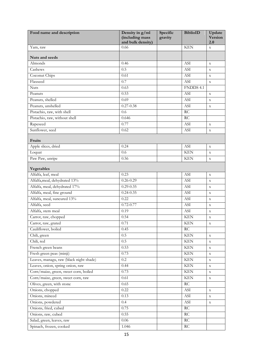<span id="page-17-2"></span><span id="page-17-1"></span><span id="page-17-0"></span>

| Food name and description               | Density in g/ml<br>(including mass<br>and bulk density) | Specific<br>gravity | <b>BiblioID</b>             | Update<br><b>Version</b><br>2.0 |
|-----------------------------------------|---------------------------------------------------------|---------------------|-----------------------------|---------------------------------|
| Yam, raw                                | 0.66                                                    |                     | <b>KEN</b>                  | $\mathbf X$                     |
|                                         |                                                         |                     |                             |                                 |
| Nuts and seeds                          |                                                         |                     |                             |                                 |
| Almonds                                 | 0.46                                                    |                     | ASI                         | $\mathbf X$                     |
| Cashews                                 | 0.5                                                     |                     | ASI                         | $\mathbf x$                     |
| Coconut Chips                           | 0.61                                                    |                     | ASI                         | $\mathbf X$                     |
| Flaxseed                                | 0.7                                                     |                     | ASI                         | $\mathbf X$                     |
| <b>Nuts</b>                             | 0.63                                                    |                     | FNDDS 4.1                   |                                 |
| Peanuts                                 | 0.53                                                    |                     | <b>ASI</b>                  | $\mathbf X$                     |
| Peanuts, shelled                        | 0.69                                                    |                     | ASI                         | $\mathbf X$                     |
| Peanuts, unshelled                      | $0.27 - 0.38$                                           |                     | <b>ASI</b>                  | $\mathbf X$                     |
| Pistachio, raw, with shell              | 0.6                                                     |                     | <b>RC</b>                   |                                 |
| Pistachio, raw, without shell           | 0.646                                                   |                     | <b>RC</b>                   |                                 |
| Rapeseed                                | 0.77                                                    |                     | <b>ASI</b>                  | $\mathbf x$                     |
| Sunflower, seed                         | 0.62                                                    |                     | ASI                         | $\mathbf X$                     |
| Fruits                                  |                                                         |                     |                             |                                 |
| Apple slices, dried                     | 0.24                                                    |                     | ASI                         | $\mathbf X$                     |
| Loquat                                  | 0.6                                                     |                     | <b>KEN</b>                  | $\mathbf X$                     |
| Paw Paw, unripe                         | 0.56                                                    |                     | <b>KEN</b>                  | $\mathbf X$                     |
| Vegetables                              |                                                         |                     |                             |                                 |
| Alfalfa, leaf, meal                     | 0.23                                                    |                     | <b>ASI</b>                  | $\mathbf X$                     |
| Alfalfa, meal, dehydrated 13%           | $0.26 - 0.29$                                           |                     | ASI                         | $\mathbf X$                     |
| Alfalfa, meal, dehydrated 17%           | $0.29 - 0.35$                                           |                     | ASI                         | $\mathbf X$                     |
| Alfalfa, meal, fine ground              | $0.24 - 0.35$                                           |                     | ASI                         | $\mathbf X$                     |
| Alfalfa, meal, suncured 13%             | 0.22                                                    |                     | ASI                         | $\mathbf X$                     |
| Alfalfa, seed                           | $0.72 - 0.77$                                           |                     | ASI                         | $\mathbf X$                     |
| Alfalfa, stem meal                      | 0.19                                                    |                     | ASI                         | $\mathbf X$                     |
| Carrot, raw, chopped                    | 0.54                                                    |                     | <b>KEN</b>                  | $\mathbf X$                     |
| Carrot, raw, grated                     | 0.71                                                    |                     | <b>KEN</b>                  | $\mathbf X$                     |
| Cauliflower, boiled                     | 0.45                                                    |                     | RC                          |                                 |
| Chili, green                            | 0.5                                                     |                     | <b>KEN</b>                  | $\mathbf X$                     |
| Chili, red                              | 0.5                                                     |                     | <b>KEN</b>                  | $\mathbf X$                     |
| French green beans                      | 0.53                                                    |                     | <b>KEN</b>                  | $\mathbf X$                     |
| Fresh green peas (minji)                | 0.73                                                    |                     | <b>KEN</b>                  | $\mathbf X$                     |
| Leaves, managu, raw (black night shade) | $0.2\,$                                                 |                     | <b>KEN</b>                  | $\mathbf X$                     |
| Leaves, onion, spring onion, raw        | 0.44                                                    |                     | <b>KEN</b>                  | $\mathbf X$                     |
| Corn/maize, green, sweet corn, boiled   | 0.73                                                    |                     | <b>KEN</b>                  | $\mathbf X$                     |
| Corn/maize, green, sweet corn, raw      | 0.61                                                    |                     | <b>KEN</b>                  | $\mathbf X$                     |
| Olives, green, with stone               | 0.65                                                    |                     | RC                          |                                 |
| Onions, chopped                         | 0.22                                                    |                     | ASI                         | $\mathbf X$                     |
| Onions, minced                          | 0.13                                                    |                     | $\boldsymbol{\mathrm{ASI}}$ | $\mathbf X$                     |
| Onions, powdered                        | 0.4                                                     |                     | $\boldsymbol{\mathrm{ASI}}$ | $\mathbf X$                     |
| Onions, fried, cubed                    | 0.75                                                    |                     | $\mathop{\rm RC}$           |                                 |
| Onions, raw, cubed                      | 0.55                                                    |                     | $\mathop{\rm RC}$           |                                 |
| Salad, green, leaves, raw               | 0.06                                                    |                     | RC                          |                                 |
| Spinach, frozen, cooked                 | 1.046                                                   |                     | $\mathop{\rm RC}$           |                                 |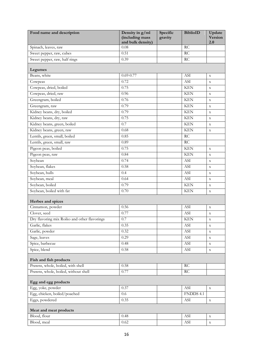<span id="page-18-4"></span><span id="page-18-3"></span><span id="page-18-2"></span><span id="page-18-1"></span><span id="page-18-0"></span>

| Food name and description                    | Density in g/ml<br>(including mass<br>and bulk density) | Specific<br>gravity | <b>BiblioID</b>      | Update<br><b>Version</b><br>2.0 |
|----------------------------------------------|---------------------------------------------------------|---------------------|----------------------|---------------------------------|
| Spinach, leaves, raw                         | 0.08                                                    |                     | RC                   |                                 |
| Sweet pepper, raw, cubes                     | 0.51                                                    |                     | <b>RC</b>            |                                 |
| Sweet pepper, raw, half rings                | 0.39                                                    |                     | <b>RC</b>            |                                 |
| Legumes                                      |                                                         |                     |                      |                                 |
| Beans, white                                 | $0.69 - 0.77$                                           |                     | ASI                  | $\mathbf X$                     |
| Cowpeas                                      | 0.72                                                    |                     | ASI                  | $\mathbf X$                     |
| Cowpeas, dried, boiled                       | 0.75                                                    |                     | <b>KEN</b>           | $\mathbf X$                     |
| Cowpeas, dried, raw                          | 0.96                                                    |                     | <b>KEN</b>           | $\mathbf X$                     |
| Greengram, boiled                            | 0.76                                                    |                     | <b>KEN</b>           | $\mathbf X$                     |
| Greengram, raw                               | 0.79                                                    |                     | <b>KEN</b>           | $\mathbf X$                     |
| Kidney beans, dry, boiled                    | 0.79                                                    |                     | <b>KEN</b>           | $\mathbf X$                     |
| Kidney beans, dry, raw                       | 0.75                                                    |                     | <b>KEN</b>           | $\mathbf X$                     |
| Kidney beans, green, boiled                  | 0.7                                                     |                     | <b>KEN</b>           | $\mathbf X$                     |
| Kidney beans, green, raw                     | 0.68                                                    |                     | <b>KEN</b>           | $\mathbf X$                     |
| Lentils, green, small, boiled                | 0.85                                                    |                     | RC                   |                                 |
| Lentils, green, small, raw                   | 0.89                                                    |                     | <b>RC</b>            |                                 |
| Pigeon peas, boiled                          | 0.75                                                    |                     | <b>KEN</b>           | $\mathbf X$                     |
| Pigeon peas, raw                             | 0.84                                                    |                     | <b>KEN</b>           | $\mathbf X$                     |
| Soybean                                      | 0.74                                                    |                     | ASI                  | $\mathbf X$                     |
| Soybean, flakes                              | 0.58                                                    |                     | ASI                  | $\mathbf X$                     |
| Soybean, hulls                               | 0.4                                                     |                     | ASI                  | $\mathbf X$                     |
| Soybean, meal                                | 0.64                                                    |                     | ASI                  | $\mathbf X$                     |
| Soybean, boiled                              | 0.79                                                    |                     | <b>KEN</b>           | $\mathbf X$                     |
| Soybean, boiled with fat                     | 0.70                                                    |                     | <b>KEN</b>           | $\mathbf X$                     |
| Herbes and spices                            |                                                         |                     |                      |                                 |
| Cinnamon, powder                             | 0.56                                                    |                     | ASI                  | $\mathbf X$                     |
| Clover, seed                                 | 0.77                                                    |                     | ASI                  | $\mathbf X$                     |
| Dry flavoring mix Roiko and other flavorings | $0.7\,$                                                 |                     | <b>KEN</b>           | $\mathbf X$                     |
| Garlic, flakes                               | 0.35                                                    |                     | ASI                  | $\mathbf X$                     |
| Garlic, powder                               | 0.32                                                    |                     | <b>ASI</b>           | $\mathbf X$                     |
| Sage, leaves                                 | 0.29                                                    |                     | ASI                  | $\mathbf X$                     |
| Spice, barbecue                              | 0.48                                                    |                     | ASI                  | $\mathbf X$                     |
| Spice, blend                                 | 0.58                                                    |                     | ASI                  | $\mathbf X$                     |
| Fish and fish products                       |                                                         |                     |                      |                                 |
| Prawns, whole, boiled, with shell            | 0.58                                                    |                     | RC                   |                                 |
| Prawns, whole, boiled, without shell         | 0.77                                                    |                     | RC                   |                                 |
| Egg and egg products                         |                                                         |                     |                      |                                 |
| Egg, yoke, powder                            | 0.37                                                    |                     | ASI                  | $\mathbf X$                     |
| Egg, chicken, boiled/poached                 | 0.6                                                     |                     | FNDDS 4.1            |                                 |
| Eggs, powdered                               | 0.35                                                    |                     | ASI                  | $\mathbf X$                     |
| Meat and meat products                       |                                                         |                     |                      |                                 |
| Blood, flour                                 | 0.48                                                    |                     | ASI                  | $\mathbf X$                     |
| Blood, meal                                  | 0.62                                                    |                     | $\operatorname{ASI}$ | $\mathbf X$                     |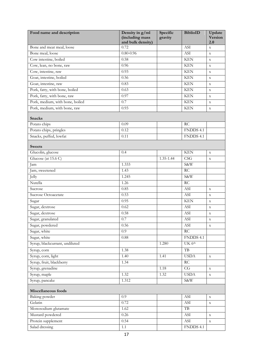<span id="page-19-2"></span><span id="page-19-1"></span><span id="page-19-0"></span>

| Food name and description       | Density in g/ml<br>(including mass<br>and bulk density) | Specific<br>gravity | <b>BiblioID</b>             | Update<br><b>Version</b><br>2.0 |
|---------------------------------|---------------------------------------------------------|---------------------|-----------------------------|---------------------------------|
| Bone and meat meal, loose       | 0.72                                                    |                     | ASI                         | $\mathbf X$                     |
| Bone meal, loose                | $0.80 - 0.96$                                           |                     | ASI                         | $\mathbf X$                     |
| Cow intestine, boiled           | 0.58                                                    |                     | <b>KEN</b>                  | $\mathbf X$                     |
| Cow, lean, no bone, raw         | 0.96                                                    |                     | <b>KEN</b>                  | $\mathbf X$                     |
| Cow, intestine, raw             | 0.93                                                    |                     | <b>KEN</b>                  | $\mathbf X$                     |
| Goat, intestine, boiled         | 0.56                                                    |                     | <b>KEN</b>                  | $\mathbf X$                     |
| Goat, intestine, raw            | 0.83                                                    |                     | <b>KEN</b>                  | $\mathbf X$                     |
| Pork, fatty, with bone, boiled  | 0.63                                                    |                     | <b>KEN</b>                  | $\mathbf X$                     |
| Pork, fatty, with bone, raw     | 0.97                                                    |                     | <b>KEN</b>                  | $\mathbf X$                     |
| Pork, medium, with bone, boiled | 0.7                                                     |                     | <b>KEN</b>                  | $\mathbf X$                     |
| Pork, medium, with bone, raw    | 0.93                                                    |                     | <b>KEN</b>                  | $\mathbf x$                     |
| <b>Snacks</b>                   |                                                         |                     |                             |                                 |
| Potato chips                    | 0.09                                                    |                     | RC                          |                                 |
| Potato chips, pringles          | 0.12                                                    |                     | FNDDS 4.1                   |                                 |
| Snacks, puffed, lowfat          | 0.11                                                    |                     | FNDDS 4.1                   |                                 |
| <b>Sweets</b>                   |                                                         |                     |                             |                                 |
| Glucolin, glucose               | 0.4                                                     |                     | <b>KEN</b>                  | $\mathbf X$                     |
| Glucose (at 15.6 C)             |                                                         | 1.35-1.44           | CSG                         | $\mathbf X$                     |
| Jam                             | 1.333                                                   |                     | S&W                         |                                 |
| Jam, sweetened                  | 1.43                                                    |                     | RC                          |                                 |
| Jelly                           | 1.245                                                   |                     | S&W                         |                                 |
| Nutella                         | 1.26                                                    |                     | RC                          |                                 |
| Sucrose                         | 0.85                                                    |                     | ASI                         | $\mathbf X$                     |
| Sucrose Octoacetate             | 0.53                                                    |                     | ASI                         | $\mathbf X$                     |
| Sugar                           | 0.95                                                    |                     | <b>KEN</b>                  | $\mathbf X$                     |
| Sugar, dextrose                 | 0.62                                                    |                     | ASI                         | $\mathbf X$                     |
| Sugar, dextrose                 | 0.58                                                    |                     | ASI                         | $\mathbf X$                     |
| Sugar, granulated               | $0.7\,$                                                 |                     | ASI                         | $\mathbf X$                     |
| Sugar, powdered                 | 0.56                                                    |                     | ASI                         | $\mathbf X$                     |
| Sugar, white                    | 0.9                                                     |                     | RC                          |                                 |
| Sugar, white                    | 0.88                                                    |                     | FNDDS 4.1                   |                                 |
| Syrup, blackcurrant, undiluted  |                                                         | 1.280               | UK 6 <sup>th</sup>          |                                 |
| Syrup, corn                     | 1.38                                                    |                     | $\rm{TB}$                   |                                 |
| Syrup, corn, light              | 1.40                                                    | 1.41                | <b>USDA</b>                 | $\mathbf X$                     |
| Syrup, fruit, blackberry        | 1.34                                                    |                     | $\mathop{\rm RC}$           |                                 |
| Syrup, grenadine                |                                                         | 1.18                | CG                          | $\mathbf X$                     |
| Syrup, maple                    | 1.32                                                    | 1.32                | <b>USDA</b>                 | $\mathbf X$                     |
| Syrup, pancake                  | 1.312                                                   |                     | S&W                         |                                 |
| Miscellaneous foods             |                                                         |                     |                             |                                 |
| Baking powder                   | 0.9                                                     |                     | ASI                         | $\mathbf X$                     |
| Gelatin                         | 0.72                                                    |                     | ASI                         | $\mathbf X$                     |
| Monosodium glutamate            | 1.62                                                    |                     | $\rm{TB}$                   |                                 |
| Mustard powdered                | 0.26                                                    |                     | $\boldsymbol{\mathrm{ASI}}$ | $\mathbf X$                     |
| Protein supplement              | 0.54                                                    |                     | ASI                         | $\mathbf X$                     |
| Salad dressing                  | 1.1                                                     |                     | FNDDS 4.1                   |                                 |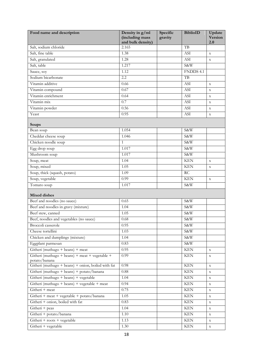<span id="page-20-1"></span><span id="page-20-0"></span>

| Food name and description                                                      | Density in g/ml<br>(including mass<br>and bulk density) | Specific<br>gravity | <b>BiblioID</b>      | Update<br><b>Version</b><br>2.0 |
|--------------------------------------------------------------------------------|---------------------------------------------------------|---------------------|----------------------|---------------------------------|
| Salt, sodium chloride                                                          | 2.165                                                   |                     | TB                   |                                 |
| Salt, fine table                                                               | 1.38                                                    |                     | ASI                  | $\mathbf x$                     |
| Salt, granulated                                                               | 1.28                                                    |                     | ASI                  | $\mathbf X$                     |
| Salt, table                                                                    | 1.217                                                   |                     | S&W                  |                                 |
| Sauce, soy                                                                     | 1.12                                                    |                     | FNDDS 4.1            |                                 |
| Sodium bicarbonate                                                             | $\overline{2.2}$                                        |                     | TB                   |                                 |
| Vitamin additive                                                               | 0.66                                                    |                     | ASI                  | $\mathbf X$                     |
| Vitamin compound                                                               | 0.67                                                    |                     | ASI                  | $\mathbf X$                     |
| Vitamin enrichment                                                             | 0.64                                                    |                     | ASI                  | $\mathbf X$                     |
| Vitamin mix                                                                    | 0.7                                                     |                     | ASI                  | $\mathbf X$                     |
| Vitamin powder                                                                 | 0.56                                                    |                     | <b>ASI</b>           | $\mathbf X$                     |
| Yeast                                                                          | 0.95                                                    |                     | ASI                  | $\mathbf x$                     |
| Soups                                                                          |                                                         |                     |                      |                                 |
| Bean soup                                                                      | 1.054                                                   |                     | S&W                  |                                 |
| Cheddar cheese soup                                                            | 1.046                                                   |                     | S&W                  |                                 |
| Chicken noodle soup                                                            | $\mathbf{1}$                                            |                     | S&W                  |                                 |
| Egg drop soup                                                                  | 1.017                                                   |                     | S&W                  |                                 |
| Mushroom soup                                                                  | 1.017                                                   |                     | S&W                  |                                 |
| Soup, meat                                                                     | 1.04                                                    |                     | <b>KEN</b>           | $\mathbf x$                     |
| Soup, mixed                                                                    | 1.05                                                    |                     | <b>KEN</b>           | $\mathbf X$                     |
| Soup, thick (squash, potato)                                                   | 1.09                                                    |                     | RC                   |                                 |
| Soup, vegetable                                                                | 0.99                                                    |                     | <b>KEN</b>           | $\mathbf X$                     |
| Tomato soup                                                                    | 1.017                                                   |                     | S&W                  |                                 |
| <b>Mixed dishes</b>                                                            |                                                         |                     |                      |                                 |
| Beef and noodles (no sauce)                                                    | 0.65                                                    |                     | S&W                  |                                 |
| Beef and noodles in gravy (mixture)                                            | $\overline{1.04}$                                       |                     | S&W                  |                                 |
| Beef stew, canned                                                              | 1.05                                                    |                     | S&W                  |                                 |
| Beef, noodles and vegetables (no sauce)                                        | $0.68\,$                                                |                     | S&W                  |                                 |
| Broccoli casserole                                                             | 0.95                                                    |                     | S&W                  |                                 |
| Cheese tortellini                                                              | 1.03                                                    |                     | S&W                  |                                 |
| Chicken and dumplings (mixture)                                                | 1.04                                                    |                     | S&W                  |                                 |
| Eggplant parmesan                                                              | 0.83                                                    |                     | S&W                  |                                 |
| Githeri (muthugo + beans) + meat                                               | 0.95                                                    |                     | <b>KEN</b>           | $\mathbf X$                     |
| Githeri (muthugo + beans) + meat + vegetable +                                 | 0.99                                                    |                     | <b>KEN</b>           | $\mathbf X$                     |
| potato/banana<br>Githeri (muthugo + beans) + onion, boiled with fat            | 0.98                                                    |                     | $\operatorname{KEN}$ |                                 |
| Githeri (muthugo + beans) + potato/banana                                      | $0.88\,$                                                |                     | $\operatorname{KEN}$ | $\mathbf X$                     |
| Githeri (muthugo + beans) + vegetable                                          | 1.04                                                    |                     | <b>KEN</b>           | $\mathbf X$                     |
| Githeri (muthugo + beans) + vegetable + meat                                   | 0.94                                                    |                     | <b>KEN</b>           | $\mathbf X$                     |
| Githeri + meat                                                                 | 0.75                                                    |                     | <b>KEN</b>           | $\mathbf X$                     |
|                                                                                |                                                         |                     | $\operatorname{KEN}$ | $\mathbf X$                     |
| Githeri + meat + vegetable + potato/banana<br>Githeri + onion, boiled with fat | 1.05<br>0.83                                            |                     | <b>KEN</b>           | $\mathbf X$                     |
|                                                                                |                                                         |                     |                      | $\mathbf X$                     |
| Githeri + peas                                                                 | 1.04                                                    |                     | <b>KEN</b>           | $\mathbf X$                     |
| Githeri + potato/banana                                                        | 1.10                                                    |                     | <b>KEN</b>           | $\mathbf X$                     |
| Githeri + roots + vegetable                                                    | 1.13                                                    |                     | <b>KEN</b>           | $\mathbf X$                     |
| Githeri + vegetable                                                            | 1.30                                                    |                     | <b>KEN</b>           | $\mathbf X$                     |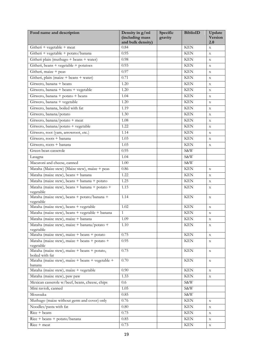| Food name and description                                       | Density in g/ml<br>(including mass<br>and bulk density) | Specific<br>gravity | <b>BiblioID</b>      | Update<br><b>Version</b><br>2.0 |
|-----------------------------------------------------------------|---------------------------------------------------------|---------------------|----------------------|---------------------------------|
| Githeri + vegetable + meat                                      | 0.84                                                    |                     | <b>KEN</b>           | $\mathbf{x}$                    |
| Githeri + vegetable + potato/banana                             | 0.95                                                    |                     | <b>KEN</b>           | $\mathbf X$                     |
| Githeri plain (muthugo + beans + water)                         | 0.98                                                    |                     | KEN                  | $\mathbf x$                     |
| Githeri, beans + vegetable + potatoes                           | 0.93                                                    |                     | <b>KEN</b>           | $\mathbf X$                     |
| Githeri, maize + peas                                           | 0.97                                                    |                     | <b>KEN</b>           | $\mathbf X$                     |
| Githeri, plain (maize + beans + water)                          | 0.71                                                    |                     | <b>KEN</b>           | $\mathbf X$                     |
| Gitwero, banana + beans                                         | 1.20                                                    |                     | <b>KEN</b>           | X                               |
| Gitwero, banana + beans + vegetable                             | 1.20                                                    |                     | <b>KEN</b>           | $\mathbf X$                     |
| Gitwero, banana + potato + beans                                | 1.04                                                    |                     | <b>KEN</b>           | X                               |
| Gitwero, banana + vegetable                                     | 1.20                                                    |                     | <b>KEN</b>           | $\mathbf X$                     |
| Gitwero, banana, boiled with fat                                | 1.19                                                    |                     | <b>KEN</b>           | $\mathbf X$                     |
| Gitwero, banana/potato                                          | 1.30                                                    |                     | <b>KEN</b>           | X                               |
| Gitwero, banana/potato + meat                                   | 1.08                                                    |                     | <b>KEN</b>           | $\mathbf X$                     |
| Gitwero, banana/potato + vegetable                              | 1.22                                                    |                     | <b>KEN</b>           | $\mathbf X$                     |
| Gitwero, root (yam, arrowroot, etc.)                            | 1.14                                                    |                     | <b>KEN</b>           | $\mathbf X$                     |
| Gitwero, roots + banana                                         | 1.03                                                    |                     | <b>KEN</b>           | $\mathbf X$                     |
| Gitwero, roots + banana                                         | 1.03                                                    |                     | <b>KEN</b>           | $\mathbf X$                     |
| Green bean casserole                                            | 0.95                                                    |                     | S&W                  |                                 |
| Lasagna                                                         | 1.04                                                    |                     | S&W                  |                                 |
| Macaroni and cheese, canned                                     | 1.00                                                    |                     | S&W                  |                                 |
| Mataha (Maize stew) (Maize stew), maize + peas                  | 0.86                                                    |                     | <b>KEN</b>           | X                               |
| Mataha (maize stew), beans + banana                             | 1.22                                                    |                     | <b>KEN</b>           | $\mathbf X$                     |
| Mataha (maize stew), beans + banana + potato                    | 1.25                                                    |                     | <b>KEN</b>           | $\mathbf X$                     |
| Mataha (maize stew), beans + banana + potato +                  | 1.15                                                    |                     | <b>KEN</b>           | $\mathbf X$                     |
| vegetable                                                       |                                                         |                     |                      |                                 |
| Mataha (maize stew), beans + potato/banana +<br>vegetable       | 1.14                                                    |                     | <b>KEN</b>           | $\mathbf X$                     |
| Mataha (maize stew), beans + vegetable                          | 1.02                                                    |                     | <b>KEN</b>           | $\mathbf X$                     |
| Mataha (maize stew), beans + vegetable + banana                 | $\mathbf{1}$                                            |                     | <b>KEN</b>           | $\mathbf X$                     |
| Mataha (maize stew), maize + banana                             | 1.09                                                    |                     | <b>KEN</b>           | $\mathbf x$                     |
| Mataha (maize stew), maize + banana/potato +<br>vegetable       | 1.10                                                    |                     | <b>KEN</b>           | $\mathbf X$                     |
| Mataha (maize stew), maize + beans + potato                     | 0.75                                                    |                     | <b>KEN</b>           | $\mathbf X$                     |
| Mataha (maize stew), maize + beans + potato +<br>vegetable      | 0.95                                                    |                     | <b>KEN</b>           | $\mathbf X$                     |
| Mataha (maize stew), maize + beans + potato,<br>boiled with fat | 0.75                                                    |                     | <b>KEN</b>           | $\mathbf X$                     |
| Mataha (maize stew), maize + beans + vegetable +<br>banana      | 0.70                                                    |                     | $\operatorname{KEN}$ | $\mathbf X$                     |
| Mataha (maize stew), maize + vegetable                          | 0.90                                                    |                     | <b>KEN</b>           | $\mathbf X$                     |
| Mataha (maize stew), paw paw                                    | 1.33                                                    |                     | <b>KEN</b>           | $\mathbf X$                     |
| Mexican casserole w/beef, beans, cheese, chips                  | 0.6                                                     |                     | S&W                  |                                 |
| Mini ravioli, canned                                            | 1.05                                                    |                     | S&W                  |                                 |
| Moussaka                                                        | 0.85                                                    |                     | S&W                  |                                 |
| Muthugo (maize without germ and cover) only                     | 0.76                                                    |                     | <b>KEN</b>           | $\mathbf X$                     |
| Noodles/pasta with fat                                          | 0.80                                                    |                     | $\operatorname{KEN}$ | $\mathbf X$                     |
| Rice + beans                                                    | 0.75                                                    |                     | <b>KEN</b>           | $\mathbf X$                     |
| Rice + beans + potato/banana                                    | 0.85                                                    |                     | <b>KEN</b>           | $\mathbf X$                     |
| Rice + meat                                                     | 0.73                                                    |                     | <b>KEN</b>           | $\mathbf X$                     |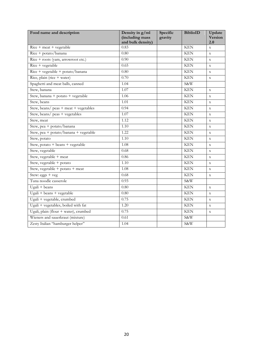| Food name and description             | Density in g/ml<br>(including mass<br>and bulk density) | Specific<br>gravity | <b>BiblioID</b> | Update<br>Version<br>2.0 |
|---------------------------------------|---------------------------------------------------------|---------------------|-----------------|--------------------------|
| $Rice + meat + vegetable$             | 0.83                                                    |                     | <b>KEN</b>      | $\bar{X}$                |
| Rice + potato/banana                  | 0.80                                                    |                     | <b>KEN</b>      | $\mathbf X$              |
| Rice + roots (yam, arrowroot etc.)    | 0.90                                                    |                     | <b>KEN</b>      | $\mathbf X$              |
| $Rice + vegetable$                    | 0.65                                                    |                     | <b>KEN</b>      | $\mathbf X$              |
| Rice + vegetable + potato/banana      | 0.80                                                    |                     | <b>KEN</b>      | $\mathbf X$              |
| Rice, plain (rice + water)            | 0.70                                                    |                     | <b>KEN</b>      | $\mathbf X$              |
| Spaghetti and meat balls, canned      | 1.04                                                    |                     | S&W             |                          |
| Stew, banana                          | 1.07                                                    |                     | <b>KEN</b>      | $\mathbf X$              |
| Stew, banana + potato + vegetable     | 1.06                                                    |                     | <b>KEN</b>      | $\mathbf X$              |
| Stew, beans                           | 1.01                                                    |                     | <b>KEN</b>      | $\mathbf X$              |
| Stew, beans/ peas + meat + vegetables | 0.94                                                    |                     | <b>KEN</b>      | $\mathbf X$              |
| Stew, beans/ peas + vegetables        | 1.07                                                    |                     | <b>KEN</b>      | $\mathbf X$              |
| Stew, meat                            | 1.12                                                    |                     | <b>KEN</b>      | $\mathbf X$              |
| Stew, pea + potato/banana             | 1.10                                                    |                     | <b>KEN</b>      | $\mathbf x$              |
| Stew, pea + potato/banana + vegetable | 1.22                                                    |                     | <b>KEN</b>      | $\mathbf X$              |
| Stew, potato                          | 1.10                                                    |                     | <b>KEN</b>      | $\mathbf X$              |
| Stew, potato + beans + vegetable      | 1.08                                                    |                     | <b>KEN</b>      | $\mathbf X$              |
| Stew, vegetable                       | 0.68                                                    |                     | <b>KEN</b>      | $\mathbf X$              |
| Stew, vegetable + meat                | 0.86                                                    |                     | <b>KEN</b>      | $\mathbf X$              |
| Stew, vegetable + potato              | 1.10                                                    |                     | <b>KEN</b>      | $\mathbf X$              |
| Stew, vegetable + potato + meat       | 1.08                                                    |                     | <b>KEN</b>      | $\mathbf X$              |
| Stew: eggs + veg                      | 0.68                                                    |                     | <b>KEN</b>      | $\mathbf X$              |
| Tuna noodle casserole                 | 0.93                                                    |                     | S&W             |                          |
| $Ugali + beans$                       | 0.80                                                    |                     | <b>KEN</b>      | $\mathbf X$              |
| $Ugali + beans + vegetable$           | 0.80                                                    |                     | <b>KEN</b>      | $\mathbf X$              |
| Ugali + vegetable, crumbed            | 0.75                                                    |                     | <b>KEN</b>      | $\mathbf X$              |
| Ugali + vegetables, boiled with fat   | 1.20                                                    |                     | <b>KEN</b>      | $\mathbf x$              |
| Ugali, plain (flour + water), crumbed | 0.75                                                    |                     | <b>KEN</b>      | $\mathbf X$              |
| Wieners and sauerkraut (mixture)      | 0.61                                                    |                     | S&W             |                          |
| Zesty Italian "hamburger helper"      | 1.04                                                    |                     | S&W             |                          |